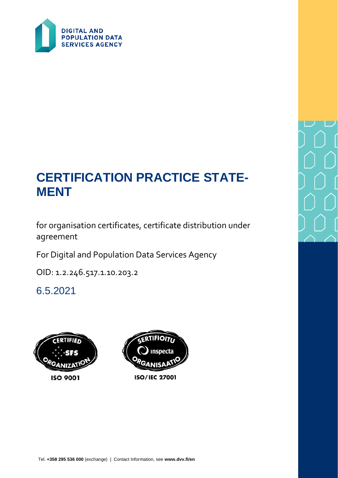

# **CERTIFICATION PRACTICE STATE-MENT**

for organisation certificates, certificate distribution under agreement

For Digital and Population Data Services Agency

OID: 1.2.246.517.1.10.203.2

6.5.2021

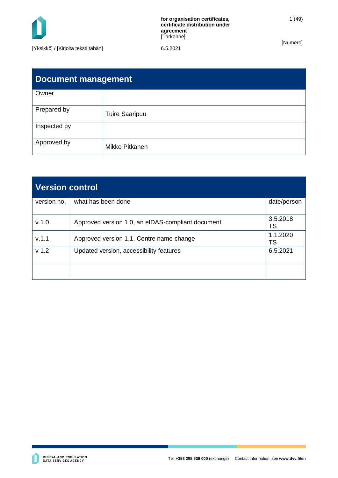

1 (49)

| <b>Document management</b> |                       |  |
|----------------------------|-----------------------|--|
| Owner                      |                       |  |
| Prepared by                | <b>Tuire Saaripuu</b> |  |
| Inspected by               |                       |  |
| Approved by                | Mikko Pitkänen        |  |

| <b>Version control</b> |                                                   |                       |
|------------------------|---------------------------------------------------|-----------------------|
| version no.            | what has been done                                | date/person           |
| V.1.0                  | Approved version 1.0, an eIDAS-compliant document | 3.5.2018<br><b>TS</b> |
| V.1.1                  | Approved version 1.1, Centre name change          | 1.1.2020<br>TS        |
| v <sub>1.2</sub>       | Updated version, accessibility features           | 6.5.2021              |
|                        |                                                   |                       |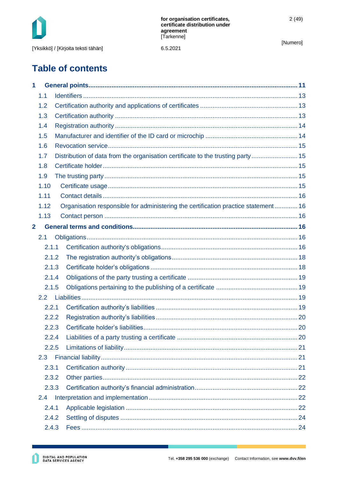

6.5.2021

[Numero]

# **Table of contents**

| 1              |       |                                                                                    |  |
|----------------|-------|------------------------------------------------------------------------------------|--|
|                | 1.1   |                                                                                    |  |
|                | 1.2   |                                                                                    |  |
|                | 1.3   |                                                                                    |  |
|                | 1.4   |                                                                                    |  |
|                | 1.5   |                                                                                    |  |
|                | 1.6   |                                                                                    |  |
|                | 1.7   | Distribution of data from the organisation certificate to the trusting party  15   |  |
|                | 1.8   |                                                                                    |  |
|                | 1.9   |                                                                                    |  |
|                | 1.10  |                                                                                    |  |
|                | 1.11  |                                                                                    |  |
|                | 1.12  | Organisation responsible for administering the certification practice statement 16 |  |
|                | 1.13  |                                                                                    |  |
| $\overline{2}$ |       |                                                                                    |  |
|                | 2.1   |                                                                                    |  |
|                | 2.1.1 |                                                                                    |  |
|                | 2.1.2 |                                                                                    |  |
|                | 2.1.3 |                                                                                    |  |
|                | 2.1.4 |                                                                                    |  |
|                | 2.1.5 |                                                                                    |  |
|                |       |                                                                                    |  |
|                | 2.2.1 |                                                                                    |  |
|                | 2.2.2 |                                                                                    |  |
|                | 2.2.3 |                                                                                    |  |
|                | 2.2.4 |                                                                                    |  |
|                | 2.2.5 |                                                                                    |  |
|                | 2.3   |                                                                                    |  |
|                | 2.3.1 |                                                                                    |  |
|                | 2.3.2 |                                                                                    |  |
|                | 2.3.3 |                                                                                    |  |
|                | 2.4   |                                                                                    |  |
|                | 2.4.1 |                                                                                    |  |
|                | 2.4.2 |                                                                                    |  |
|                | 2.4.3 |                                                                                    |  |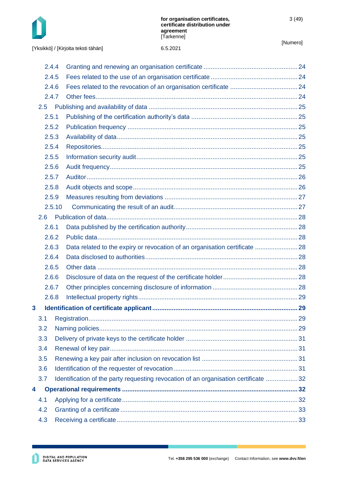

| [Yksikkö] / [Kirjoita teksti tähän] | 6.5.2021 |
|-------------------------------------|----------|
|-------------------------------------|----------|

|   | 2.4.4 |        |                                                                                      |  |
|---|-------|--------|--------------------------------------------------------------------------------------|--|
|   | 2.4.5 |        |                                                                                      |  |
|   | 2.4.6 |        |                                                                                      |  |
|   | 2.4.7 |        |                                                                                      |  |
|   |       |        |                                                                                      |  |
|   | 2.5.1 |        |                                                                                      |  |
|   | 2.5.2 |        |                                                                                      |  |
|   | 2.5.3 |        |                                                                                      |  |
|   | 2.5.4 |        |                                                                                      |  |
|   | 2.5.5 |        |                                                                                      |  |
|   | 2.5.6 |        |                                                                                      |  |
|   | 2.5.7 |        |                                                                                      |  |
|   | 2.5.8 |        |                                                                                      |  |
|   | 2.5.9 |        |                                                                                      |  |
|   |       | 2.5.10 |                                                                                      |  |
|   | 2.6   |        |                                                                                      |  |
|   | 2.6.1 |        |                                                                                      |  |
|   | 2.6.2 |        |                                                                                      |  |
|   | 2.6.3 |        | Data related to the expiry or revocation of an organisation certificate  28          |  |
|   | 2.6.4 |        |                                                                                      |  |
|   | 2.6.5 |        |                                                                                      |  |
|   | 2.6.6 |        |                                                                                      |  |
|   | 2.6.7 |        |                                                                                      |  |
|   | 2.6.8 |        |                                                                                      |  |
| 3 |       |        |                                                                                      |  |
|   | 3.1   |        |                                                                                      |  |
|   | 3.2   |        |                                                                                      |  |
|   | 3.3   |        |                                                                                      |  |
|   | 3.4   |        |                                                                                      |  |
|   | 3.5   |        |                                                                                      |  |
|   | 3.6   |        |                                                                                      |  |
|   | 3.7   |        | Identification of the party requesting revocation of an organisation certificate  32 |  |
| 4 |       |        |                                                                                      |  |
|   | 4.1   |        |                                                                                      |  |
|   | 4.2   |        |                                                                                      |  |
|   | 4.3   |        |                                                                                      |  |
|   |       |        |                                                                                      |  |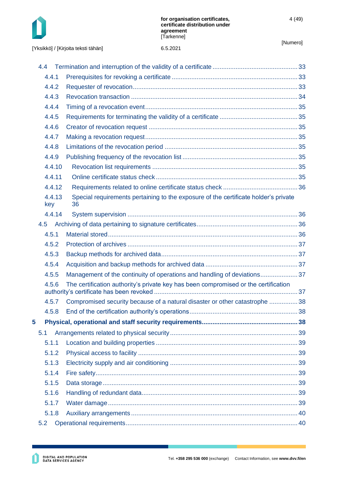

|   | 4.4   |        |                                                                                           |  |
|---|-------|--------|-------------------------------------------------------------------------------------------|--|
|   | 4.4.1 |        |                                                                                           |  |
|   | 4.4.2 |        |                                                                                           |  |
|   | 4.4.3 |        |                                                                                           |  |
|   | 4.4.4 |        |                                                                                           |  |
|   | 4.4.5 |        |                                                                                           |  |
|   | 4.4.6 |        |                                                                                           |  |
|   | 4.4.7 |        |                                                                                           |  |
|   | 4.4.8 |        |                                                                                           |  |
|   | 4.4.9 |        |                                                                                           |  |
|   |       | 4.4.10 |                                                                                           |  |
|   |       | 4.4.11 |                                                                                           |  |
|   |       | 4.4.12 |                                                                                           |  |
|   | key   | 4.4.13 | Special requirements pertaining to the exposure of the certificate holder's private<br>36 |  |
|   |       | 4.4.14 |                                                                                           |  |
|   | 4.5   |        |                                                                                           |  |
|   | 4.5.1 |        |                                                                                           |  |
|   | 4.5.2 |        |                                                                                           |  |
|   | 4.5.3 |        |                                                                                           |  |
|   | 4.5.4 |        |                                                                                           |  |
|   | 4.5.5 |        | Management of the continuity of operations and handling of deviations37                   |  |
|   | 4.5.6 |        | The certification authority's private key has been compromised or the certification       |  |
|   | 4.5.7 |        | Compromised security because of a natural disaster or other catastrophe  38               |  |
|   | 4.5.8 |        |                                                                                           |  |
| 5 |       |        |                                                                                           |  |
|   | 5.1   |        |                                                                                           |  |
|   | 5.1.1 |        |                                                                                           |  |
|   | 5.1.2 |        |                                                                                           |  |
|   | 5.1.3 |        |                                                                                           |  |
|   | 5.1.4 |        |                                                                                           |  |
|   | 5.1.5 |        |                                                                                           |  |
|   | 5.1.6 |        |                                                                                           |  |
|   | 5.1.7 |        |                                                                                           |  |
|   | 5.1.8 |        |                                                                                           |  |
|   | 5.2   |        |                                                                                           |  |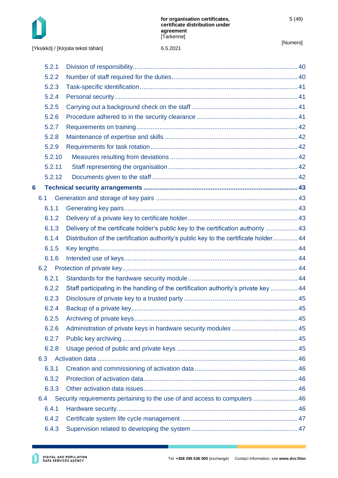

[Yksikkö] / [Kirjoita teksti tähän]

| 5.2.1  |                                                                                       |                                                                            |
|--------|---------------------------------------------------------------------------------------|----------------------------------------------------------------------------|
| 5.2.2  |                                                                                       |                                                                            |
| 5.2.3  |                                                                                       |                                                                            |
| 5.2.4  |                                                                                       |                                                                            |
| 5.2.5  |                                                                                       |                                                                            |
| 5.2.6  |                                                                                       |                                                                            |
| 5.2.7  |                                                                                       |                                                                            |
| 5.2.8  |                                                                                       |                                                                            |
| 5.2.9  |                                                                                       |                                                                            |
| 5.2.10 |                                                                                       |                                                                            |
| 5.2.11 |                                                                                       |                                                                            |
| 5.2.12 |                                                                                       |                                                                            |
|        |                                                                                       |                                                                            |
|        |                                                                                       |                                                                            |
| 6.1.1  |                                                                                       |                                                                            |
| 6.1.2  |                                                                                       |                                                                            |
| 6.1.3  | Delivery of the certificate holder's public key to the certification authority  43    |                                                                            |
| 6.1.4  | Distribution of the certification authority's public key to the certificate holder 44 |                                                                            |
| 6.1.5  |                                                                                       |                                                                            |
| 6.1.6  |                                                                                       |                                                                            |
|        |                                                                                       |                                                                            |
| 6.2.1  |                                                                                       |                                                                            |
| 6.2.2  | Staff participating in the handling of the certification authority's private key  44  |                                                                            |
| 6.2.3  |                                                                                       |                                                                            |
| 6.2.4  |                                                                                       |                                                                            |
| 6.2.5  |                                                                                       |                                                                            |
| 6.2.6  |                                                                                       |                                                                            |
| 6.2.7  |                                                                                       |                                                                            |
| 6.2.8  |                                                                                       |                                                                            |
|        |                                                                                       |                                                                            |
| 6.3.1  |                                                                                       |                                                                            |
| 6.3.2  |                                                                                       |                                                                            |
| 6.3.3  |                                                                                       |                                                                            |
|        |                                                                                       |                                                                            |
| 6.4.1  |                                                                                       |                                                                            |
| 6.4.2  |                                                                                       |                                                                            |
| 6.4.3  |                                                                                       |                                                                            |
|        | 6.1<br>6.2<br>6.3<br>6.4                                                              | Security requirements pertaining to the use of and access to computers  46 |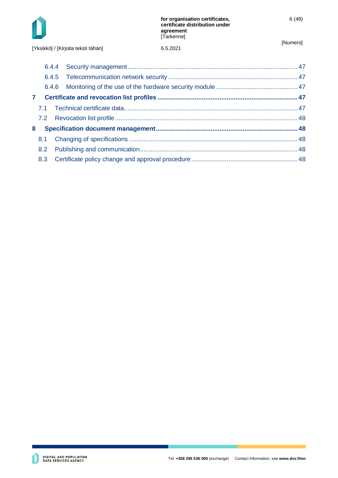

[Yksikkö] / [Kirjoita teksti tähän]

| 6.5.202 |
|---------|
|         |

| $\mathbf{7}$ |               |  |
|--------------|---------------|--|
|              |               |  |
|              |               |  |
| 8            |               |  |
|              | 8.1           |  |
|              | $8.2^{\circ}$ |  |
|              | 8.3           |  |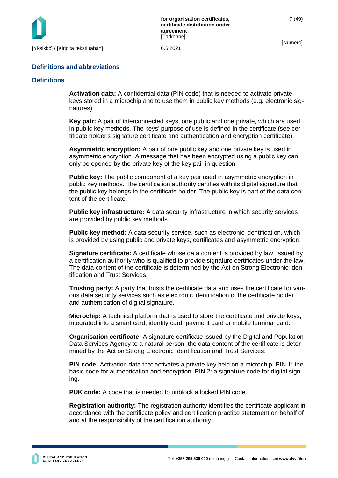

### **Definitions and abbreviations**

### **Definitions**

**Activation data:** A confidential data (PIN code) that is needed to activate private keys stored in a microchip and to use them in public key methods (e.g. electronic signatures).

**Key pair:** A pair of interconnected keys, one public and one private, which are used in public key methods. The keys' purpose of use is defined in the certificate (see certificate holder's signature certificate and authentication and encryption certificate).

**Asymmetric encryption:** A pair of one public key and one private key is used in asymmetric encryption. A message that has been encrypted using a public key can only be opened by the private key of the key pair in question.

**Public key:** The public component of a key pair used in asymmetric encryption in public key methods. The certification authority certifies with its digital signature that the public key belongs to the certificate holder. The public key is part of the data content of the certificate.

**Public key infrastructure:** A data security infrastructure in which security services are provided by public key methods.

**Public key method:** A data security service, such as electronic identification, which is provided by using public and private keys, certificates and asymmetric encryption.

**Signature certificate:** A certificate whose data content is provided by law; issued by a certification authority who is qualified to provide signature certificates under the law. The data content of the certificate is determined by the Act on Strong Electronic Identification and Trust Services.

**Trusting party:** A party that trusts the certificate data and uses the certificate for various data security services such as electronic identification of the certificate holder and authentication of digital signature.

**Microchip:** A technical platform that is used to store the certificate and private keys, integrated into a smart card, identity card, payment card or mobile terminal card.

**Organisation certificate:** A signature certificate issued by the Digital and Population Data Services Agency to a natural person; the data content of the certificate is determined by the Act on Strong Electronic Identification and Trust Services.

**PIN code:** Activation data that activates a private key held on a microchip. PIN 1: the basic code for authentication and encryption. PIN 2: a signature code for digital signing.

**PUK code:** A code that is needed to unblock a locked PIN code.

**Registration authority:** The registration authority identifies the certificate applicant in accordance with the certificate policy and certification practice statement on behalf of and at the responsibility of the certification authority.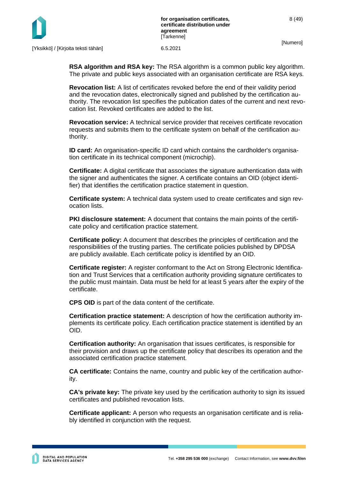

**RSA algorithm and RSA key:** The RSA algorithm is a common public key algorithm. The private and public keys associated with an organisation certificate are RSA keys.

**Revocation list:** A list of certificates revoked before the end of their validity period and the revocation dates, electronically signed and published by the certification authority. The revocation list specifies the publication dates of the current and next revocation list. Revoked certificates are added to the list.

**Revocation service:** A technical service provider that receives certificate revocation requests and submits them to the certificate system on behalf of the certification authority.

**ID card:** An organisation-specific ID card which contains the cardholder's organisation certificate in its technical component (microchip).

**Certificate:** A digital certificate that associates the signature authentication data with the signer and authenticates the signer. A certificate contains an OID (object identifier) that identifies the certification practice statement in question.

**Certificate system:** A technical data system used to create certificates and sign revocation lists.

**PKI disclosure statement:** A document that contains the main points of the certificate policy and certification practice statement.

**Certificate policy:** A document that describes the principles of certification and the responsibilities of the trusting parties. The certificate policies published by DPDSA are publicly available. Each certificate policy is identified by an OID.

**Certificate register:** A register conformant to the Act on Strong Electronic Identification and Trust Services that a certification authority providing signature certificates to the public must maintain. Data must be held for at least 5 years after the expiry of the certificate.

**CPS OID** is part of the data content of the certificate.

**Certification practice statement:** A description of how the certification authority implements its certificate policy. Each certification practice statement is identified by an OID.

**Certification authority:** An organisation that issues certificates, is responsible for their provision and draws up the certificate policy that describes its operation and the associated certification practice statement.

**CA certificate:** Contains the name, country and public key of the certification authority.

**CA's private key:** The private key used by the certification authority to sign its issued certificates and published revocation lists.

**Certificate applicant:** A person who requests an organisation certificate and is reliably identified in conjunction with the request.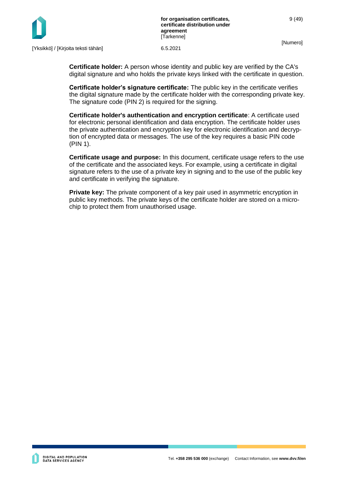

**Certificate holder:** A person whose identity and public key are verified by the CA's digital signature and who holds the private keys linked with the certificate in question.

**Certificate holder's signature certificate:** The public key in the certificate verifies the digital signature made by the certificate holder with the corresponding private key. The signature code (PIN 2) is required for the signing.

**Certificate holder's authentication and encryption certificate**: A certificate used for electronic personal identification and data encryption. The certificate holder uses the private authentication and encryption key for electronic identification and decryption of encrypted data or messages. The use of the key requires a basic PIN code (PIN 1).

**Certificate usage and purpose:** In this document, certificate usage refers to the use of the certificate and the associated keys. For example, using a certificate in digital signature refers to the use of a private key in signing and to the use of the public key and certificate in verifying the signature.

**Private key:** The private component of a key pair used in asymmetric encryption in public key methods. The private keys of the certificate holder are stored on a microchip to protect them from unauthorised usage.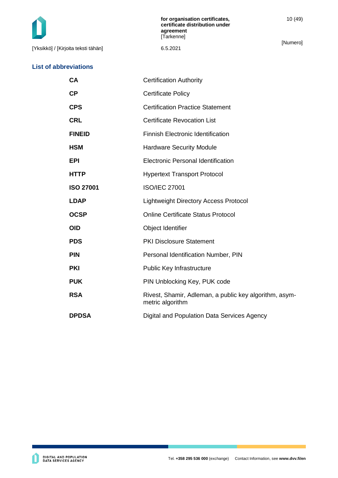[Yksikkö] / [Kirjoita teksti tähän] 6.5.2021

### **List of abbreviations**

10 (49)

[Numero]

| <b>CA</b>        | <b>Certification Authority</b>                                             |
|------------------|----------------------------------------------------------------------------|
| CP               | <b>Certificate Policy</b>                                                  |
| <b>CPS</b>       | <b>Certification Practice Statement</b>                                    |
| <b>CRL</b>       | <b>Certificate Revocation List</b>                                         |
| <b>FINEID</b>    | <b>Finnish Electronic Identification</b>                                   |
| <b>HSM</b>       | <b>Hardware Security Module</b>                                            |
| <b>EPI</b>       | Electronic Personal Identification                                         |
| <b>HTTP</b>      | <b>Hypertext Transport Protocol</b>                                        |
| <b>ISO 27001</b> | <b>ISO/IEC 27001</b>                                                       |
| <b>LDAP</b>      | <b>Lightweight Directory Access Protocol</b>                               |
| <b>OCSP</b>      | <b>Online Certificate Status Protocol</b>                                  |
| <b>OID</b>       | Object Identifier                                                          |
| <b>PDS</b>       | <b>PKI Disclosure Statement</b>                                            |
| <b>PIN</b>       | Personal Identification Number, PIN                                        |
| <b>PKI</b>       | <b>Public Key Infrastructure</b>                                           |
| <b>PUK</b>       | PIN Unblocking Key, PUK code                                               |
| <b>RSA</b>       | Rivest, Shamir, Adleman, a public key algorithm, asym-<br>metric algorithm |
| <b>DPDSA</b>     | Digital and Population Data Services Agency                                |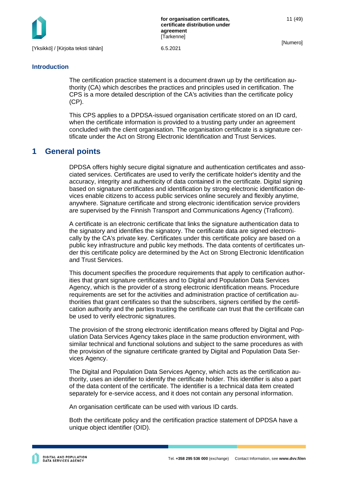

**for organisation certificates, certificate distribution under agreement [Tarkenne]** 

[Numero]

11 (49)

### **Introduction**

The certification practice statement is a document drawn up by the certification authority (CA) which describes the practices and principles used in certification. The CPS is a more detailed description of the CA's activities than the certificate policy (CP).

This CPS applies to a DPDSA-issued organisation certificate stored on an ID card, when the certificate information is provided to a trusting party under an agreement concluded with the client organisation. The organisation certificate is a signature certificate under the Act on Strong Electronic Identification and Trust Services.

# <span id="page-11-0"></span>**1 General points**

DPDSA offers highly secure digital signature and authentication certificates and associated services. Certificates are used to verify the certificate holder's identity and the accuracy, integrity and authenticity of data contained in the certificate. Digital signing based on signature certificates and identification by strong electronic identification devices enable citizens to access public services online securely and flexibly anytime, anywhere. Signature certificate and strong electronic identification service providers are supervised by the Finnish Transport and Communications Agency (Traficom).

A certificate is an electronic certificate that links the signature authentication data to the signatory and identifies the signatory. The certificate data are signed electronically by the CA's private key. Certificates under this certificate policy are based on a public key infrastructure and public key methods. The data contents of certificates under this certificate policy are determined by the Act on Strong Electronic Identification and Trust Services.

This document specifies the procedure requirements that apply to certification authorities that grant signature certificates and to Digital and Population Data Services Agency, which is the provider of a strong electronic identification means. Procedure requirements are set for the activities and administration practice of certification authorities that grant certificates so that the subscribers, signers certified by the certification authority and the parties trusting the certificate can trust that the certificate can be used to verify electronic signatures.

The provision of the strong electronic identification means offered by Digital and Population Data Services Agency takes place in the same production environment, with similar technical and functional solutions and subject to the same procedures as with the provision of the signature certificate granted by Digital and Population Data Services Agency.

The Digital and Population Data Services Agency, which acts as the certification authority, uses an identifier to identify the certificate holder. This identifier is also a part of the data content of the certificate. The identifier is a technical data item created separately for e-service access, and it does not contain any personal information.

An organisation certificate can be used with various ID cards.

Both the certificate policy and the certification practice statement of DPDSA have a unique object identifier (OID).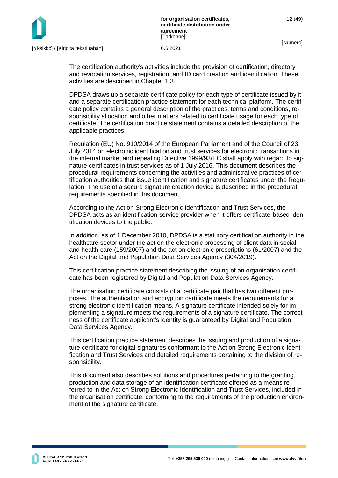

The certification authority's activities include the provision of certification, directory and revocation services, registration, and ID card creation and identification. These activities are described in Chapter 1.3.

DPDSA draws up a separate certificate policy for each type of certificate issued by it, and a separate certification practice statement for each technical platform. The certificate policy contains a general description of the practices, terms and conditions, responsibility allocation and other matters related to certificate usage for each type of certificate. The certification practice statement contains a detailed description of the applicable practices.

Regulation (EU) No. 910/2014 of the European Parliament and of the Council of 23 July 2014 on electronic identification and trust services for electronic transactions in the internal market and repealing Directive 1999/93/EC shall apply with regard to signature certificates in trust services as of 1 July 2016. This document describes the procedural requirements concerning the activities and administrative practices of certification authorities that issue identification and signature certificates under the Regulation. The use of a secure signature creation device is described in the procedural requirements specified in this document.

According to the Act on Strong Electronic Identification and Trust Services, the DPDSA acts as an identification service provider when it offers certificate-based identification devices to the public.

In addition, as of 1 December 2010, DPDSA is a statutory certification authority in the healthcare sector under the act on the electronic processing of client data in social and health care (159/2007) and the act on electronic prescriptions (61/2007) and the Act on the Digital and Population Data Services Agency (304/2019).

This certification practice statement describing the issuing of an organisation certificate has been registered by Digital and Population Data Services Agency.

The organisation certificate consists of a certificate pair that has two different purposes. The authentication and encryption certificate meets the requirements for a strong electronic identification means. A signature certificate intended solely for implementing a signature meets the requirements of a signature certificate. The correctness of the certificate applicant's identity is guaranteed by Digital and Population Data Services Agency.

This certification practice statement describes the issuing and production of a signature certificate for digital signatures conformant to the Act on Strong Electronic Identification and Trust Services and detailed requirements pertaining to the division of responsibility.

This document also describes solutions and procedures pertaining to the granting, production and data storage of an identification certificate offered as a means referred to in the Act on Strong Electronic Identification and Trust Services, included in the organisation certificate, conforming to the requirements of the production environment of the signature certificate.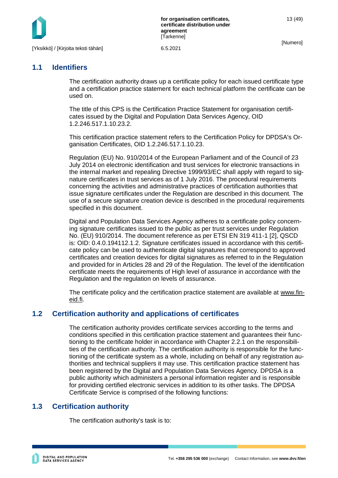

# <span id="page-13-0"></span>**1.1 Identifiers**

The certification authority draws up a certificate policy for each issued certificate type and a certification practice statement for each technical platform the certificate can be used on.

The title of this CPS is the Certification Practice Statement for organisation certificates issued by the Digital and Population Data Services Agency, OID 1.2.246.517.1.10.23.2.

This certification practice statement refers to the Certification Policy for DPDSA's Organisation Certificates, OID 1.2.246.517.1.10.23.

Regulation (EU) No. 910/2014 of the European Parliament and of the Council of 23 July 2014 on electronic identification and trust services for electronic transactions in the internal market and repealing Directive 1999/93/EC shall apply with regard to signature certificates in trust services as of 1 July 2016. The procedural requirements concerning the activities and administrative practices of certification authorities that issue signature certificates under the Regulation are described in this document. The use of a secure signature creation device is described in the procedural requirements specified in this document.

Digital and Population Data Services Agency adheres to a certificate policy concerning signature certificates issued to the public as per trust services under Regulation No. (EU) 910/2014. The document reference as per ETSI EN 319 411-1 [2], QSCD is: OID: 0.4.0.194112.1.2. Signature certificates issued in accordance with this certificate policy can be used to authenticate digital signatures that correspond to approved certificates and creation devices for digital signatures as referred to in the Regulation and provided for in Articles 28 and 29 of the Regulation. The level of the identification certificate meets the requirements of High level of assurance in accordance with the Regulation and the regulation on levels of assurance.

The certificate policy and the certification practice statement are available at [www.fin](http://www.fineid.fi/)[eid.fi.](http://www.fineid.fi/)

# <span id="page-13-1"></span>**1.2 Certification authority and applications of certificates**

The certification authority provides certificate services according to the terms and conditions specified in this certification practice statement and guarantees their functioning to the certificate holder in accordance with Chapter 2.2.1 on the responsibilities of the certification authority. The certification authority is responsible for the functioning of the certificate system as a whole, including on behalf of any registration authorities and technical suppliers it may use. This certification practice statement has been registered by the Digital and Population Data Services Agency. DPDSA is a public authority which administers a personal information register and is responsible for providing certified electronic services in addition to its other tasks. The DPDSA Certificate Service is comprised of the following functions:

# <span id="page-13-2"></span>**1.3 Certification authority**

The certification authority's task is to: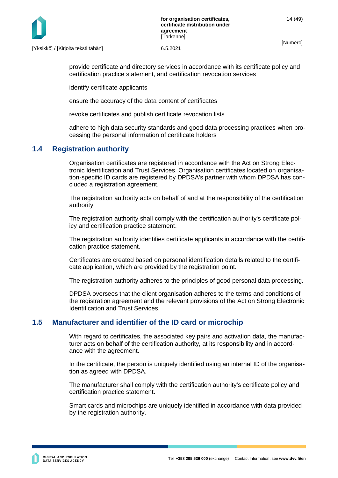

[Yksikkö] / [Kirjoita teksti tähän] 6.5.2021

provide certificate and directory services in accordance with its certificate policy and certification practice statement, and certification revocation services

identify certificate applicants

ensure the accuracy of the data content of certificates

revoke certificates and publish certificate revocation lists

adhere to high data security standards and good data processing practices when processing the personal information of certificate holders

# <span id="page-14-0"></span>**1.4 Registration authority**

Organisation certificates are registered in accordance with the Act on Strong Electronic Identification and Trust Services. Organisation certificates located on organisation-specific ID cards are registered by DPDSA's partner with whom DPDSA has concluded a registration agreement.

The registration authority acts on behalf of and at the responsibility of the certification authority.

The registration authority shall comply with the certification authority's certificate policy and certification practice statement.

The registration authority identifies certificate applicants in accordance with the certification practice statement.

Certificates are created based on personal identification details related to the certificate application, which are provided by the registration point.

The registration authority adheres to the principles of good personal data processing.

DPDSA oversees that the client organisation adheres to the terms and conditions of the registration agreement and the relevant provisions of the Act on Strong Electronic Identification and Trust Services.

# <span id="page-14-1"></span>**1.5 Manufacturer and identifier of the ID card or microchip**

With regard to certificates, the associated key pairs and activation data, the manufacturer acts on behalf of the certification authority, at its responsibility and in accordance with the agreement.

In the certificate, the person is uniquely identified using an internal ID of the organisation as agreed with DPDSA.

The manufacturer shall comply with the certification authority's certificate policy and certification practice statement.

Smart cards and microchips are uniquely identified in accordance with data provided by the registration authority.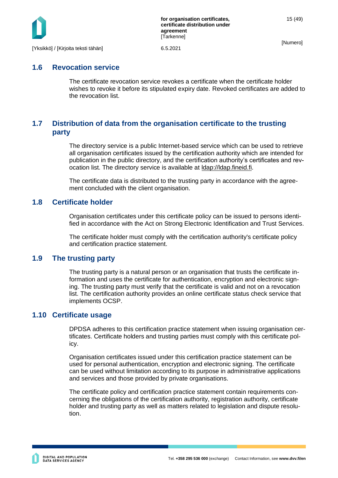

### <span id="page-15-0"></span>**1.6 Revocation service**

The certificate revocation service revokes a certificate when the certificate holder wishes to revoke it before its stipulated expiry date. Revoked certificates are added to the revocation list.

# <span id="page-15-1"></span>**1.7 Distribution of data from the organisation certificate to the trusting party**

The directory service is a public Internet-based service which can be used to retrieve all organisation certificates issued by the certification authority which are intended for publication in the public directory, and the certification authority's certificates and revocation list. The directory service is available at  $\frac{Idap://dap.fineid.fi.}{Idap.fineid.fi.}$ 

The certificate data is distributed to the trusting party in accordance with the agreement concluded with the client organisation.

# <span id="page-15-2"></span>**1.8 Certificate holder**

Organisation certificates under this certificate policy can be issued to persons identified in accordance with the Act on Strong Electronic Identification and Trust Services.

The certificate holder must comply with the certification authority's certificate policy and certification practice statement.

# <span id="page-15-3"></span>**1.9 The trusting party**

The trusting party is a natural person or an organisation that trusts the certificate information and uses the certificate for authentication, encryption and electronic signing. The trusting party must verify that the certificate is valid and not on a revocation list. The certification authority provides an online certificate status check service that implements OCSP.

### <span id="page-15-4"></span>**1.10 Certificate usage**

DPDSA adheres to this certification practice statement when issuing organisation certificates. Certificate holders and trusting parties must comply with this certificate policy.

Organisation certificates issued under this certification practice statement can be used for personal authentication, encryption and electronic signing. The certificate can be used without limitation according to its purpose in administrative applications and services and those provided by private organisations.

The certificate policy and certification practice statement contain requirements concerning the obligations of the certification authority, registration authority, certificate holder and trusting party as well as matters related to legislation and dispute resolution.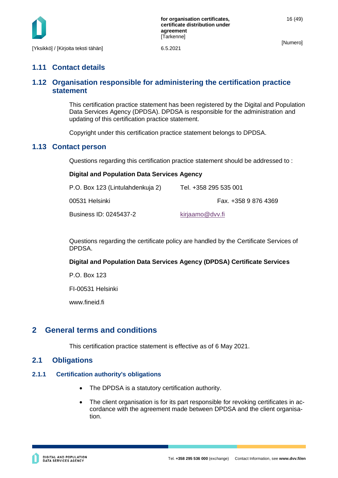

# <span id="page-16-0"></span>**1.11 Contact details**

# <span id="page-16-1"></span>**1.12 Organisation responsible for administering the certification practice statement**

This certification practice statement has been registered by the Digital and Population Data Services Agency (DPDSA). DPDSA is responsible for the administration and updating of this certification practice statement.

Copyright under this certification practice statement belongs to DPDSA.

### <span id="page-16-2"></span>**1.13 Contact person**

Questions regarding this certification practice statement should be addressed to :

### **Digital and Population Data Services Agency**

| P.O. Box 123 (Lintulahdenkuja 2) | Tel. +358 295 535 001 |
|----------------------------------|-----------------------|
| 00531 Helsinki                   | Fax. +358 9 876 4369  |
| Business ID: 0245437-2           | kirjaamo@dvv.fi       |

Questions regarding the certificate policy are handled by the Certificate Services of DPDSA.

### **Digital and Population Data Services Agency (DPDSA) Certificate Services**

P.O. Box 123

FI-00531 Helsinki

www.fineid.fi

# <span id="page-16-3"></span>**2 General terms and conditions**

This certification practice statement is effective as of 6 May 2021.

### <span id="page-16-4"></span>**2.1 Obligations**

### <span id="page-16-5"></span>**2.1.1 Certification authority's obligations**

- The DPDSA is a statutory certification authority.
- The client organisation is for its part responsible for revoking certificates in accordance with the agreement made between DPDSA and the client organisation.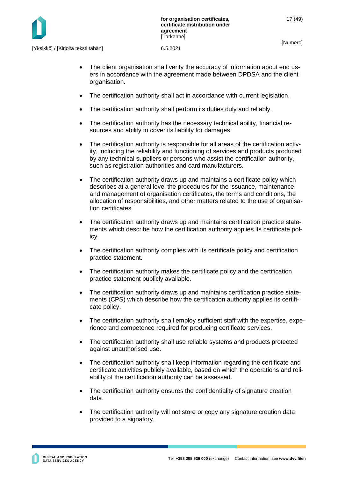

[Yksikkö] / [Kirjoita teksti tähän] 6.5.2021

- The client organisation shall verify the accuracy of information about end users in accordance with the agreement made between DPDSA and the client organisation.
- The certification authority shall act in accordance with current legislation.
- The certification authority shall perform its duties duly and reliably.
- The certification authority has the necessary technical ability, financial resources and ability to cover its liability for damages.
- The certification authority is responsible for all areas of the certification activity, including the reliability and functioning of services and products produced by any technical suppliers or persons who assist the certification authority, such as registration authorities and card manufacturers.
- The certification authority draws up and maintains a certificate policy which describes at a general level the procedures for the issuance, maintenance and management of organisation certificates, the terms and conditions, the allocation of responsibilities, and other matters related to the use of organisation certificates.
- The certification authority draws up and maintains certification practice statements which describe how the certification authority applies its certificate policy.
- The certification authority complies with its certificate policy and certification practice statement.
- The certification authority makes the certificate policy and the certification practice statement publicly available.
- The certification authority draws up and maintains certification practice statements (CPS) which describe how the certification authority applies its certificate policy.
- The certification authority shall employ sufficient staff with the expertise, experience and competence required for producing certificate services.
- The certification authority shall use reliable systems and products protected against unauthorised use.
- The certification authority shall keep information regarding the certificate and certificate activities publicly available, based on which the operations and reliability of the certification authority can be assessed.
- The certification authority ensures the confidentiality of signature creation data.
- The certification authority will not store or copy any signature creation data provided to a signatory.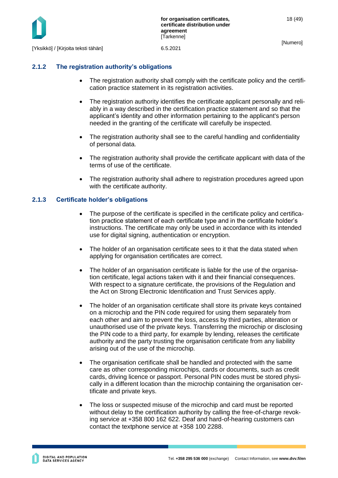

[Yksikkö] / [Kirjoita teksti tähän] 6.5.2021

### <span id="page-18-0"></span>**2.1.2 The registration authority's obligations**

- The registration authority shall comply with the certificate policy and the certification practice statement in its registration activities.
- The registration authority identifies the certificate applicant personally and reliably in a way described in the certification practice statement and so that the applicant's identity and other information pertaining to the applicant's person needed in the granting of the certificate will carefully be inspected.
- The registration authority shall see to the careful handling and confidentiality of personal data.
- The registration authority shall provide the certificate applicant with data of the terms of use of the certificate.
- The registration authority shall adhere to registration procedures agreed upon with the certificate authority.

### <span id="page-18-1"></span>**2.1.3 Certificate holder's obligations**

- The purpose of the certificate is specified in the certificate policy and certification practice statement of each certificate type and in the certificate holder's instructions. The certificate may only be used in accordance with its intended use for digital signing, authentication or encryption.
- The holder of an organisation certificate sees to it that the data stated when applying for organisation certificates are correct.
- The holder of an organisation certificate is liable for the use of the organisation certificate, legal actions taken with it and their financial consequences. With respect to a signature certificate, the provisions of the Regulation and the Act on Strong Electronic Identification and Trust Services apply.
- The holder of an organisation certificate shall store its private keys contained on a microchip and the PIN code required for using them separately from each other and aim to prevent the loss, access by third parties, alteration or unauthorised use of the private keys. Transferring the microchip or disclosing the PIN code to a third party, for example by lending, releases the certificate authority and the party trusting the organisation certificate from any liability arising out of the use of the microchip.
- The organisation certificate shall be handled and protected with the same care as other corresponding microchips, cards or documents, such as credit cards, driving licence or passport. Personal PIN codes must be stored physically in a different location than the microchip containing the organisation certificate and private keys.
- The loss or suspected misuse of the microchip and card must be reported without delay to the certification authority by calling the free-of-charge revoking service at +358 800 162 622. Deaf and hard-of-hearing customers can contact the textphone service at +358 100 2288.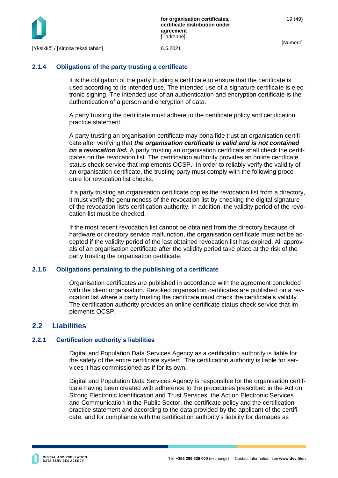

# <span id="page-19-0"></span>**2.1.4 Obligations of the party trusting a certificate**

It is the obligation of the party trusting a certificate to ensure that the certificate is used according to its intended use. The intended use of a signature certificate is electronic signing. The intended use of an authentication and encryption certificate is the authentication of a person and encryption of data.

A party trusting the certificate must adhere to the certificate policy and certification practice statement.

A party trusting an organisation certificate may bona fide trust an organisation certificate after verifying that *the organisation certificate is valid and is not contained on a revocation list.* A party trusting an organisation certificate shall check the certificates on the revocation list. The certification authority provides an online certificate status check service that implements OCSP. In order to reliably verify the validity of an organisation certificate, the trusting party must comply with the following procedure for revocation list checks.

If a party trusting an organisation certificate copies the revocation list from a directory, it must verify the genuineness of the revocation list by checking the digital signature of the revocation list's certification authority. In addition, the validity period of the revocation list must be checked.

If the most recent revocation list cannot be obtained from the directory because of hardware or directory service malfunction, the organisation certificate must not be accepted if the validity period of the last obtained revocation list has expired. All approvals of an organisation certificate after the validity period take place at the risk of the party trusting the organisation certificate.

# <span id="page-19-1"></span>**2.1.5 Obligations pertaining to the publishing of a certificate**

Organisation certificates are published in accordance with the agreement concluded with the client organisation. Revoked organisation certificates are published on a revocation list where a party trusting the certificate must check the certificate's validity. The certification authority provides an online certificate status check service that implements OCSP.

# <span id="page-19-2"></span>**2.2 Liabilities**

# <span id="page-19-3"></span>**2.2.1 Certification authority's liabilities**

Digital and Population Data Services Agency as a certification authority is liable for the safety of the entire certificate system. The certification authority is liable for services it has commissioned as if for its own.

Digital and Population Data Services Agency is responsible for the organisation certificate having been created with adherence to the procedures prescribed in the Act on Strong Electronic Identification and Trust Services, the Act on Electronic Services and Communication in the Public Sector, the certificate policy and the certification practice statement and according to the data provided by the applicant of the certificate, and for compliance with the certification authority's liability for damages as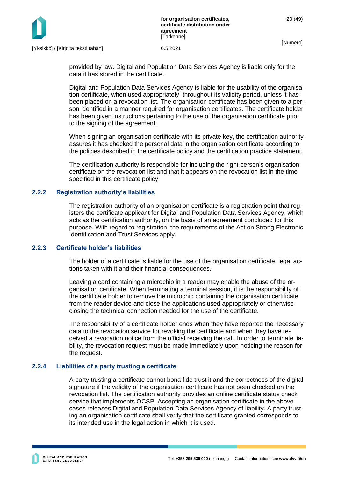

provided by law. Digital and Population Data Services Agency is liable only for the data it has stored in the certificate.

Digital and Population Data Services Agency is liable for the usability of the organisation certificate, when used appropriately, throughout its validity period, unless it has been placed on a revocation list. The organisation certificate has been given to a person identified in a manner required for organisation certificates. The certificate holder has been given instructions pertaining to the use of the organisation certificate prior to the signing of the agreement.

When signing an organisation certificate with its private key, the certification authority assures it has checked the personal data in the organisation certificate according to the policies described in the certificate policy and the certification practice statement.

The certification authority is responsible for including the right person's organisation certificate on the revocation list and that it appears on the revocation list in the time specified in this certificate policy.

### <span id="page-20-0"></span>**2.2.2 Registration authority's liabilities**

The registration authority of an organisation certificate is a registration point that registers the certificate applicant for Digital and Population Data Services Agency, which acts as the certification authority, on the basis of an agreement concluded for this purpose. With regard to registration, the requirements of the Act on Strong Electronic Identification and Trust Services apply.

### <span id="page-20-1"></span>**2.2.3 Certificate holder's liabilities**

The holder of a certificate is liable for the use of the organisation certificate, legal actions taken with it and their financial consequences.

Leaving a card containing a microchip in a reader may enable the abuse of the organisation certificate. When terminating a terminal session, it is the responsibility of the certificate holder to remove the microchip containing the organisation certificate from the reader device and close the applications used appropriately or otherwise closing the technical connection needed for the use of the certificate.

The responsibility of a certificate holder ends when they have reported the necessary data to the revocation service for revoking the certificate and when they have received a revocation notice from the official receiving the call. In order to terminate liability, the revocation request must be made immediately upon noticing the reason for the request.

### <span id="page-20-2"></span>**2.2.4 Liabilities of a party trusting a certificate**

A party trusting a certificate cannot bona fide trust it and the correctness of the digital signature if the validity of the organisation certificate has not been checked on the revocation list. The certification authority provides an online certificate status check service that implements OCSP. Accepting an organisation certificate in the above cases releases Digital and Population Data Services Agency of liability. A party trusting an organisation certificate shall verify that the certificate granted corresponds to its intended use in the legal action in which it is used.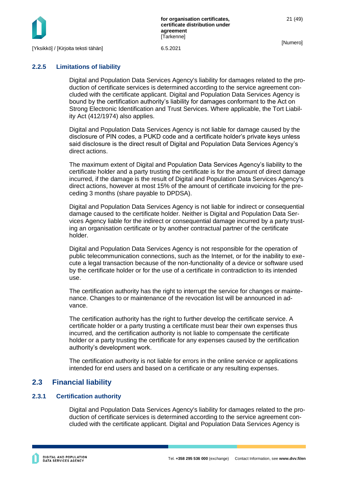

### <span id="page-21-0"></span>**2.2.5 Limitations of liability**

Digital and Population Data Services Agency's liability for damages related to the production of certificate services is determined according to the service agreement concluded with the certificate applicant. Digital and Population Data Services Agency is bound by the certification authority's liability for damages conformant to the Act on Strong Electronic Identification and Trust Services. Where applicable, the Tort Liability Act (412/1974) also applies.

Digital and Population Data Services Agency is not liable for damage caused by the disclosure of PIN codes, a PUKD code and a certificate holder's private keys unless said disclosure is the direct result of Digital and Population Data Services Agency's direct actions.

The maximum extent of Digital and Population Data Services Agency's liability to the certificate holder and a party trusting the certificate is for the amount of direct damage incurred, if the damage is the result of Digital and Population Data Services Agency's direct actions, however at most 15% of the amount of certificate invoicing for the preceding 3 months (share payable to DPDSA).

Digital and Population Data Services Agency is not liable for indirect or consequential damage caused to the certificate holder. Neither is Digital and Population Data Services Agency liable for the indirect or consequential damage incurred by a party trusting an organisation certificate or by another contractual partner of the certificate holder.

Digital and Population Data Services Agency is not responsible for the operation of public telecommunication connections, such as the Internet, or for the inability to execute a legal transaction because of the non-functionality of a device or software used by the certificate holder or for the use of a certificate in contradiction to its intended use.

The certification authority has the right to interrupt the service for changes or maintenance. Changes to or maintenance of the revocation list will be announced in advance.

The certification authority has the right to further develop the certificate service. A certificate holder or a party trusting a certificate must bear their own expenses thus incurred, and the certification authority is not liable to compensate the certificate holder or a party trusting the certificate for any expenses caused by the certification authority's development work.

The certification authority is not liable for errors in the online service or applications intended for end users and based on a certificate or any resulting expenses.

# <span id="page-21-1"></span>**2.3 Financial liability**

### <span id="page-21-2"></span>**2.3.1 Certification authority**

Digital and Population Data Services Agency's liability for damages related to the production of certificate services is determined according to the service agreement concluded with the certificate applicant. Digital and Population Data Services Agency is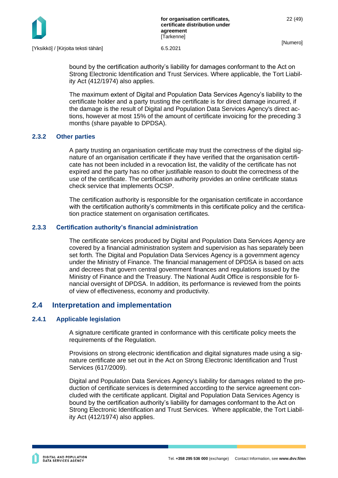

bound by the certification authority's liability for damages conformant to the Act on Strong Electronic Identification and Trust Services. Where applicable, the Tort Liability Act (412/1974) also applies.

The maximum extent of Digital and Population Data Services Agency's liability to the certificate holder and a party trusting the certificate is for direct damage incurred, if the damage is the result of Digital and Population Data Services Agency's direct actions, however at most 15% of the amount of certificate invoicing for the preceding 3 months (share payable to DPDSA).

### <span id="page-22-0"></span>**2.3.2 Other parties**

A party trusting an organisation certificate may trust the correctness of the digital signature of an organisation certificate if they have verified that the organisation certificate has not been included in a revocation list, the validity of the certificate has not expired and the party has no other justifiable reason to doubt the correctness of the use of the certificate. The certification authority provides an online certificate status check service that implements OCSP.

The certification authority is responsible for the organisation certificate in accordance with the certification authority's commitments in this certificate policy and the certification practice statement on organisation certificates.

### <span id="page-22-1"></span>**2.3.3 Certification authority's financial administration**

The certificate services produced by Digital and Population Data Services Agency are covered by a financial administration system and supervision as has separately been set forth. The Digital and Population Data Services Agency is a government agency under the Ministry of Finance. The financial management of DPDSA is based on acts and decrees that govern central government finances and regulations issued by the Ministry of Finance and the Treasury. The National Audit Office is responsible for financial oversight of DPDSA. In addition, its performance is reviewed from the points of view of effectiveness, economy and productivity.

# <span id="page-22-2"></span>**2.4 Interpretation and implementation**

### <span id="page-22-3"></span>**2.4.1 Applicable legislation**

A signature certificate granted in conformance with this certificate policy meets the requirements of the Regulation.

Provisions on strong electronic identification and digital signatures made using a signature certificate are set out in the Act on Strong Electronic Identification and Trust Services (617/2009).

Digital and Population Data Services Agency's liability for damages related to the production of certificate services is determined according to the service agreement concluded with the certificate applicant. Digital and Population Data Services Agency is bound by the certification authority's liability for damages conformant to the Act on Strong Electronic Identification and Trust Services. Where applicable, the Tort Liability Act (412/1974) also applies.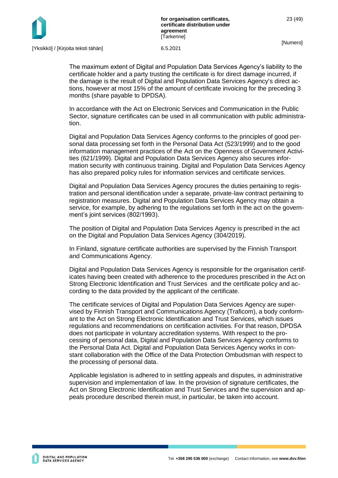

The maximum extent of Digital and Population Data Services Agency's liability to the certificate holder and a party trusting the certificate is for direct damage incurred, if the damage is the result of Digital and Population Data Services Agency's direct actions, however at most 15% of the amount of certificate invoicing for the preceding 3 months (share payable to DPDSA).

In accordance with the Act on Electronic Services and Communication in the Public Sector, signature certificates can be used in all communication with public administration.

Digital and Population Data Services Agency conforms to the principles of good personal data processing set forth in the Personal Data Act (523/1999) and to the good information management practices of the Act on the Openness of Government Activities (621/1999). Digital and Population Data Services Agency also secures information security with continuous training. Digital and Population Data Services Agency has also prepared policy rules for information services and certificate services.

Digital and Population Data Services Agency procures the duties pertaining to registration and personal identification under a separate, private-law contract pertaining to registration measures. Digital and Population Data Services Agency may obtain a service, for example, by adhering to the regulations set forth in the act on the government's joint services (802/1993).

The position of Digital and Population Data Services Agency is prescribed in the act on the Digital and Population Data Services Agency (304/2019).

In Finland, signature certificate authorities are supervised by the Finnish Transport and Communications Agency.

Digital and Population Data Services Agency is responsible for the organisation certificates having been created with adherence to the procedures prescribed in the Act on Strong Electronic Identification and Trust Services and the certificate policy and according to the data provided by the applicant of the certificate.

The certificate services of Digital and Population Data Services Agency are supervised by Finnish Transport and Communications Agency (Traficom), a body conformant to the Act on Strong Electronic Identification and Trust Services, which issues regulations and recommendations on certification activities. For that reason, DPDSA does not participate in voluntary accreditation systems. With respect to the processing of personal data, Digital and Population Data Services Agency conforms to the Personal Data Act. Digital and Population Data Services Agency works in constant collaboration with the Office of the Data Protection Ombudsman with respect to the processing of personal data.

Applicable legislation is adhered to in settling appeals and disputes, in administrative supervision and implementation of law. In the provision of signature certificates, the Act on Strong Electronic Identification and Trust Services and the supervision and appeals procedure described therein must, in particular, be taken into account.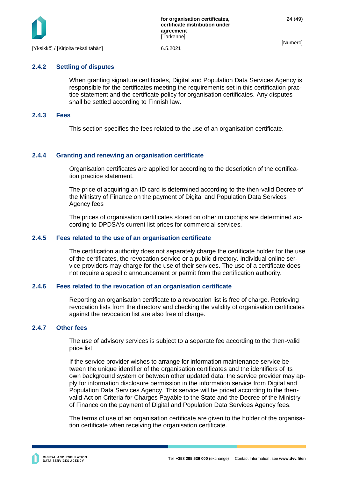

### <span id="page-24-0"></span>**2.4.2 Settling of disputes**

When granting signature certificates, Digital and Population Data Services Agency is responsible for the certificates meeting the requirements set in this certification practice statement and the certificate policy for organisation certificates. Any disputes shall be settled according to Finnish law.

### <span id="page-24-1"></span>**2.4.3 Fees**

This section specifies the fees related to the use of an organisation certificate.

### <span id="page-24-2"></span>**2.4.4 Granting and renewing an organisation certificate**

Organisation certificates are applied for according to the description of the certification practice statement.

The price of acquiring an ID card is determined according to the then-valid Decree of the Ministry of Finance on the payment of Digital and Population Data Services Agency fees

The prices of organisation certificates stored on other microchips are determined according to DPDSA's current list prices for commercial services.

### <span id="page-24-3"></span>**2.4.5 Fees related to the use of an organisation certificate**

The certification authority does not separately charge the certificate holder for the use of the certificates, the revocation service or a public directory. Individual online service providers may charge for the use of their services. The use of a certificate does not require a specific announcement or permit from the certification authority.

### <span id="page-24-4"></span>**2.4.6 Fees related to the revocation of an organisation certificate**

Reporting an organisation certificate to a revocation list is free of charge. Retrieving revocation lists from the directory and checking the validity of organisation certificates against the revocation list are also free of charge.

### <span id="page-24-5"></span>**2.4.7 Other fees**

The use of advisory services is subject to a separate fee according to the then-valid price list.

If the service provider wishes to arrange for information maintenance service between the unique identifier of the organisation certificates and the identifiers of its own background system or between other updated data, the service provider may apply for information disclosure permission in the information service from Digital and Population Data Services Agency. This service will be priced according to the thenvalid Act on Criteria for Charges Payable to the State and the Decree of the Ministry of Finance on the payment of Digital and Population Data Services Agency fees.

The terms of use of an organisation certificate are given to the holder of the organisation certificate when receiving the organisation certificate.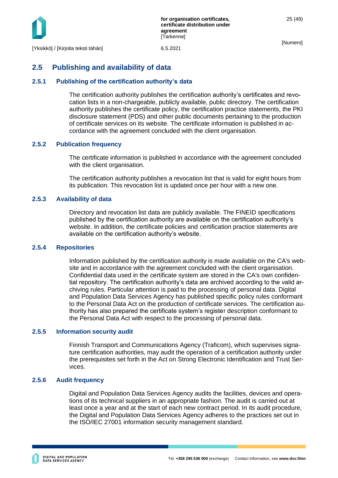

25 (49)

# <span id="page-25-0"></span>**2.5 Publishing and availability of data**

### <span id="page-25-1"></span>**2.5.1 Publishing of the certification authority's data**

The certification authority publishes the certification authority's certificates and revocation lists in a non-chargeable, publicly available, public directory. The certification authority publishes the certificate policy, the certification practice statements, the PKI disclosure statement (PDS) and other public documents pertaining to the production of certificate services on its website. The certificate information is published in accordance with the agreement concluded with the client organisation.

### <span id="page-25-2"></span>**2.5.2 Publication frequency**

The certificate information is published in accordance with the agreement concluded with the client organisation.

The certification authority publishes a revocation list that is valid for eight hours from its publication. This revocation list is updated once per hour with a new one.

### <span id="page-25-3"></span>**2.5.3 Availability of data**

Directory and revocation list data are publicly available. The FINEID specifications published by the certification authority are available on the certification authority's website. In addition, the certificate policies and certification practice statements are available on the certification authority's website.

### <span id="page-25-4"></span>**2.5.4 Repositories**

Information published by the certification authority is made available on the CA's website and in accordance with the agreement concluded with the client organisation. Confidential data used in the certificate system are stored in the CA's own confidential repository. The certification authority's data are archived according to the valid archiving rules. Particular attention is paid to the processing of personal data. Digital and Population Data Services Agency has published specific policy rules conformant to the Personal Data Act on the production of certificate services. The certification authority has also prepared the certificate system's register description conformant to the Personal Data Act with respect to the processing of personal data.

### <span id="page-25-5"></span>**2.5.5 Information security audit**

Finnish Transport and Communications Agency (Traficom), which supervises signature certification authorities, may audit the operation of a certification authority under the prerequisites set forth in the Act on Strong Electronic Identification and Trust Services.

### <span id="page-25-6"></span>**2.5.6 Audit frequency**

Digital and Population Data Services Agency audits the facilities, devices and operations of its technical suppliers in an appropriate fashion. The audit is carried out at least once a year and at the start of each new contract period. In its audit procedure, the Digital and Population Data Services Agency adheres to the practices set out in the ISO/IEC 27001 information security management standard.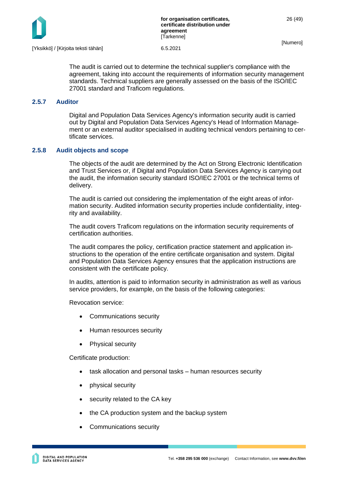

The audit is carried out to determine the technical supplier's compliance with the agreement, taking into account the requirements of information security management standards. Technical suppliers are generally assessed on the basis of the ISO/IEC 27001 standard and Traficom regulations.

### <span id="page-26-0"></span>**2.5.7 Auditor**

Digital and Population Data Services Agency's information security audit is carried out by Digital and Population Data Services Agency's Head of Information Management or an external auditor specialised in auditing technical vendors pertaining to certificate services.

### <span id="page-26-1"></span>**2.5.8 Audit objects and scope**

The objects of the audit are determined by the Act on Strong Electronic Identification and Trust Services or, if Digital and Population Data Services Agency is carrying out the audit, the information security standard ISO/IEC 27001 or the technical terms of delivery.

The audit is carried out considering the implementation of the eight areas of information security. Audited information security properties include confidentiality, integrity and availability.

The audit covers Traficom regulations on the information security requirements of certification authorities.

The audit compares the policy, certification practice statement and application instructions to the operation of the entire certificate organisation and system. Digital and Population Data Services Agency ensures that the application instructions are consistent with the certificate policy.

In audits, attention is paid to information security in administration as well as various service providers, for example, on the basis of the following categories:

Revocation service:

- Communications security
- Human resources security
- Physical security

Certificate production:

- task allocation and personal tasks human resources security
- physical security
- security related to the CA key
- the CA production system and the backup system
- Communications security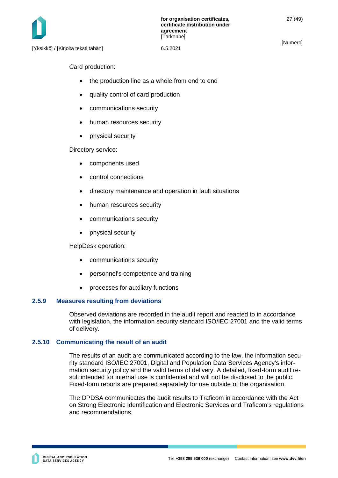Card production:

- the production line as a whole from end to end
- quality control of card production
- communications security
- human resources security
- physical security

Directory service:

- components used
- control connections
- directory maintenance and operation in fault situations
- human resources security
- communications security
- physical security

HelpDesk operation:

- communications security
- personnel's competence and training
- processes for auxiliary functions

### <span id="page-27-0"></span>**2.5.9 Measures resulting from deviations**

Observed deviations are recorded in the audit report and reacted to in accordance with legislation, the information security standard ISO/IEC 27001 and the valid terms of delivery.

### <span id="page-27-1"></span>**2.5.10 Communicating the result of an audit**

The results of an audit are communicated according to the law, the information security standard ISO/IEC 27001, Digital and Population Data Services Agency's information security policy and the valid terms of delivery. A detailed, fixed-form audit result intended for internal use is confidential and will not be disclosed to the public. Fixed-form reports are prepared separately for use outside of the organisation.

The DPDSA communicates the audit results to Traficom in accordance with the Act on Strong Electronic Identification and Electronic Services and Traficom's regulations and recommendations.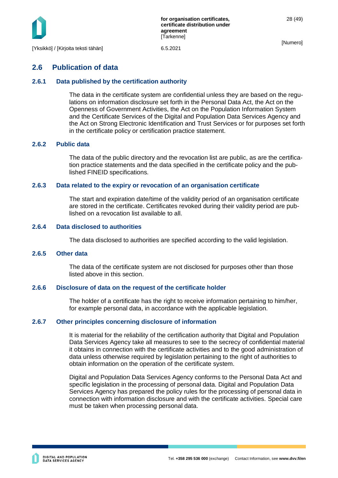

# <span id="page-28-0"></span>**2.6 Publication of data**

### <span id="page-28-1"></span>**2.6.1 Data published by the certification authority**

The data in the certificate system are confidential unless they are based on the regulations on information disclosure set forth in the Personal Data Act, the Act on the Openness of Government Activities, the Act on the Population Information System and the Certificate Services of the Digital and Population Data Services Agency and the Act on Strong Electronic Identification and Trust Services or for purposes set forth in the certificate policy or certification practice statement.

### <span id="page-28-2"></span>**2.6.2 Public data**

The data of the public directory and the revocation list are public, as are the certification practice statements and the data specified in the certificate policy and the published FINEID specifications.

### <span id="page-28-3"></span>**2.6.3 Data related to the expiry or revocation of an organisation certificate**

The start and expiration date/time of the validity period of an organisation certificate are stored in the certificate. Certificates revoked during their validity period are published on a revocation list available to all.

### <span id="page-28-4"></span>**2.6.4 Data disclosed to authorities**

The data disclosed to authorities are specified according to the valid legislation.

### <span id="page-28-5"></span>**2.6.5 Other data**

The data of the certificate system are not disclosed for purposes other than those listed above in this section.

### <span id="page-28-6"></span>**2.6.6 Disclosure of data on the request of the certificate holder**

The holder of a certificate has the right to receive information pertaining to him/her, for example personal data, in accordance with the applicable legislation.

### <span id="page-28-7"></span>**2.6.7 Other principles concerning disclosure of information**

It is material for the reliability of the certification authority that Digital and Population Data Services Agency take all measures to see to the secrecy of confidential material it obtains in connection with the certificate activities and to the good administration of data unless otherwise required by legislation pertaining to the right of authorities to obtain information on the operation of the certificate system.

Digital and Population Data Services Agency conforms to the Personal Data Act and specific legislation in the processing of personal data. Digital and Population Data Services Agency has prepared the policy rules for the processing of personal data in connection with information disclosure and with the certificate activities. Special care must be taken when processing personal data.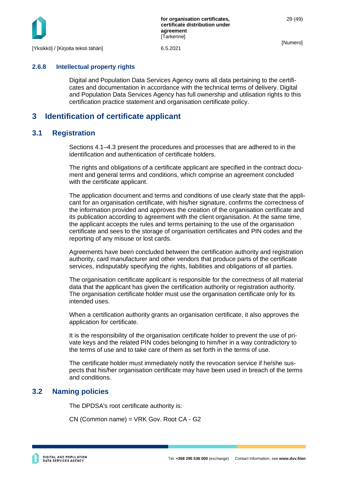

### <span id="page-29-0"></span>**2.6.8 Intellectual property rights**

Digital and Population Data Services Agency owns all data pertaining to the certificates and documentation in accordance with the technical terms of delivery. Digital and Population Data Services Agency has full ownership and utilisation rights to this certification practice statement and organisation certificate policy.

# <span id="page-29-1"></span>**3 Identification of certificate applicant**

### <span id="page-29-2"></span>**3.1 Registration**

Sections 4.1–4.3 present the procedures and processes that are adhered to in the identification and authentication of certificate holders.

The rights and obligations of a certificate applicant are specified in the contract document and general terms and conditions, which comprise an agreement concluded with the certificate applicant.

The application document and terms and conditions of use clearly state that the applicant for an organisation certificate, with his/her signature, confirms the correctness of the information provided and approves the creation of the organisation certificate and its publication according to agreement with the client organisation. At the same time, the applicant accepts the rules and terms pertaining to the use of the organisation certificate and sees to the storage of organisation certificates and PIN codes and the reporting of any misuse or lost cards.

Agreements have been concluded between the certification authority and registration authority, card manufacturer and other vendors that produce parts of the certificate services, indisputably specifying the rights, liabilities and obligations of all parties.

The organisation certificate applicant is responsible for the correctness of all material data that the applicant has given the certification authority or registration authority. The organisation certificate holder must use the organisation certificate only for its intended uses.

When a certification authority grants an organisation certificate, it also approves the application for certificate.

It is the responsibility of the organisation certificate holder to prevent the use of private keys and the related PIN codes belonging to him/her in a way contradictory to the terms of use and to take care of them as set forth in the terms of use.

The certificate holder must immediately notify the revocation service if he/she suspects that his/her organisation certificate may have been used in breach of the terms and conditions.

### <span id="page-29-3"></span>**3.2 Naming policies**

The DPDSA's root certificate authority is:

CN (Common name) = VRK Gov. Root CA - G2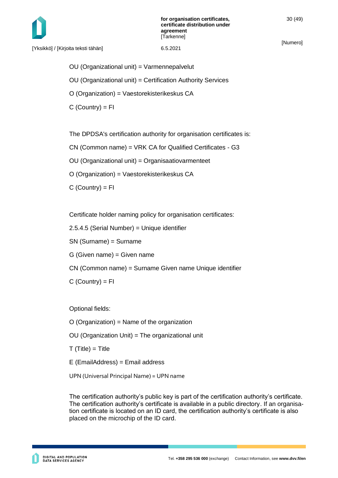

OU (Organizational unit) = Varmennepalvelut

OU (Organizational unit) = Certification Authority Services

O (Organization) = Vaestorekisterikeskus CA

 $C$  (Country) = FI

The DPDSA's certification authority for organisation certificates is:

CN (Common name) = VRK CA for Qualified Certificates - G3

OU (Organizational unit) = Organisaatiovarmenteet

O (Organization) = Vaestorekisterikeskus CA

 $C$  (Country) =  $FI$ 

Certificate holder naming policy for organisation certificates:

2.5.4.5 (Serial Number) = Unique identifier

SN (Surname) = Surname

G (Given name) = Given name

CN (Common name) = Surname Given name Unique identifier

 $C$  (Country) =  $FI$ 

Optional fields:

O (Organization) = Name of the organization

OU (Organization Unit) = The organizational unit

 $T(Title) = Title$ 

E (EmailAddress) = Email address

UPN (Universal Principal Name) = UPN name

The certification authority's public key is part of the certification authority's certificate. The certification authority's certificate is available in a public directory. If an organisation certificate is located on an ID card, the certification authority's certificate is also placed on the microchip of the ID card.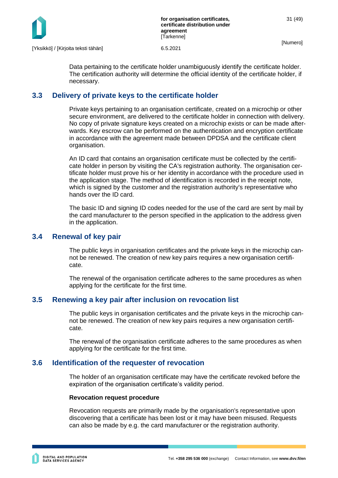

Data pertaining to the certificate holder unambiguously identify the certificate holder. The certification authority will determine the official identity of the certificate holder, if necessary.

# <span id="page-31-0"></span>**3.3 Delivery of private keys to the certificate holder**

Private keys pertaining to an organisation certificate, created on a microchip or other secure environment, are delivered to the certificate holder in connection with delivery. No copy of private signature keys created on a microchip exists or can be made afterwards. Key escrow can be performed on the authentication and encryption certificate in accordance with the agreement made between DPDSA and the certificate client organisation.

An ID card that contains an organisation certificate must be collected by the certificate holder in person by visiting the CA's registration authority. The organisation certificate holder must prove his or her identity in accordance with the procedure used in the application stage. The method of identification is recorded in the receipt note, which is signed by the customer and the registration authority's representative who hands over the ID card.

The basic ID and signing ID codes needed for the use of the card are sent by mail by the card manufacturer to the person specified in the application to the address given in the application.

# <span id="page-31-1"></span>**3.4 Renewal of key pair**

The public keys in organisation certificates and the private keys in the microchip cannot be renewed. The creation of new key pairs requires a new organisation certificate.

The renewal of the organisation certificate adheres to the same procedures as when applying for the certificate for the first time.

# <span id="page-31-2"></span>**3.5 Renewing a key pair after inclusion on revocation list**

The public keys in organisation certificates and the private keys in the microchip cannot be renewed. The creation of new key pairs requires a new organisation certificate.

The renewal of the organisation certificate adheres to the same procedures as when applying for the certificate for the first time.

# <span id="page-31-3"></span>**3.6 Identification of the requester of revocation**

The holder of an organisation certificate may have the certificate revoked before the expiration of the organisation certificate's validity period.

### **Revocation request procedure**

Revocation requests are primarily made by the organisation's representative upon discovering that a certificate has been lost or it may have been misused. Requests can also be made by e.g. the card manufacturer or the registration authority.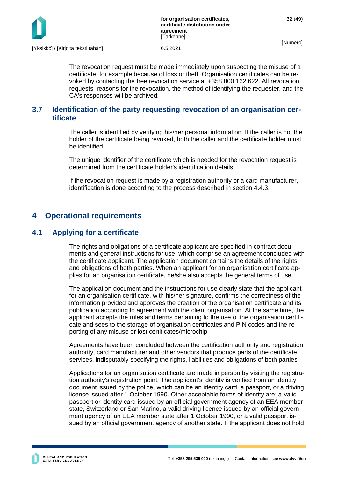

The revocation request must be made immediately upon suspecting the misuse of a certificate, for example because of loss or theft. Organisation certificates can be revoked by contacting the free revocation service at +358 800 162 622. All revocation requests, reasons for the revocation, the method of identifying the requester, and the CA's responses will be archived.

# <span id="page-32-0"></span>**3.7 Identification of the party requesting revocation of an organisation certificate**

The caller is identified by verifying his/her personal information. If the caller is not the holder of the certificate being revoked, both the caller and the certificate holder must be identified.

The unique identifier of the certificate which is needed for the revocation request is determined from the certificate holder's identification details.

If the revocation request is made by a registration authority or a card manufacturer, identification is done according to the process described in section 4.4.3.

# <span id="page-32-1"></span>**4 Operational requirements**

# <span id="page-32-2"></span>**4.1 Applying for a certificate**

The rights and obligations of a certificate applicant are specified in contract documents and general instructions for use, which comprise an agreement concluded with the certificate applicant. The application document contains the details of the rights and obligations of both parties. When an applicant for an organisation certificate applies for an organisation certificate, he/she also accepts the general terms of use.

The application document and the instructions for use clearly state that the applicant for an organisation certificate, with his/her signature, confirms the correctness of the information provided and approves the creation of the organisation certificate and its publication according to agreement with the client organisation. At the same time, the applicant accepts the rules and terms pertaining to the use of the organisation certificate and sees to the storage of organisation certificates and PIN codes and the reporting of any misuse or lost certificates/microchip.

Agreements have been concluded between the certification authority and registration authority, card manufacturer and other vendors that produce parts of the certificate services, indisputably specifying the rights, liabilities and obligations of both parties.

Applications for an organisation certificate are made in person by visiting the registration authority's registration point. The applicant's identity is verified from an identity document issued by the police, which can be an identity card, a passport, or a driving licence issued after 1 October 1990. Other acceptable forms of identity are: a valid passport or identity card issued by an official government agency of an EEA member state, Switzerland or San Marino, a valid driving licence issued by an official government agency of an EEA member state after 1 October 1990, or a valid passport issued by an official government agency of another state. If the applicant does not hold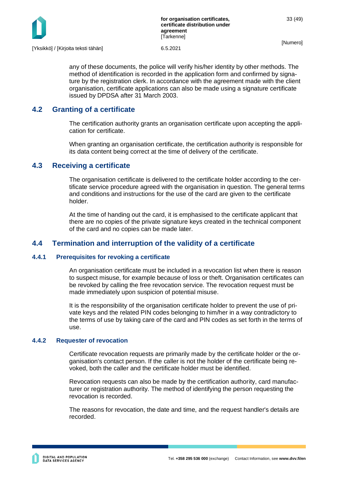

any of these documents, the police will verify his/her identity by other methods. The method of identification is recorded in the application form and confirmed by signature by the registration clerk. In accordance with the agreement made with the client organisation, certificate applications can also be made using a signature certificate issued by DPDSA after 31 March 2003.

# <span id="page-33-0"></span>**4.2 Granting of a certificate**

The certification authority grants an organisation certificate upon accepting the application for certificate.

When granting an organisation certificate, the certification authority is responsible for its data content being correct at the time of delivery of the certificate.

# <span id="page-33-1"></span>**4.3 Receiving a certificate**

The organisation certificate is delivered to the certificate holder according to the certificate service procedure agreed with the organisation in question. The general terms and conditions and instructions for the use of the card are given to the certificate holder.

At the time of handing out the card, it is emphasised to the certificate applicant that there are no copies of the private signature keys created in the technical component of the card and no copies can be made later.

# <span id="page-33-2"></span>**4.4 Termination and interruption of the validity of a certificate**

# <span id="page-33-3"></span>**4.4.1 Prerequisites for revoking a certificate**

An organisation certificate must be included in a revocation list when there is reason to suspect misuse, for example because of loss or theft. Organisation certificates can be revoked by calling the free revocation service. The revocation request must be made immediately upon suspicion of potential misuse.

It is the responsibility of the organisation certificate holder to prevent the use of private keys and the related PIN codes belonging to him/her in a way contradictory to the terms of use by taking care of the card and PIN codes as set forth in the terms of use.

### <span id="page-33-4"></span>**4.4.2 Requester of revocation**

Certificate revocation requests are primarily made by the certificate holder or the organisation's contact person. If the caller is not the holder of the certificate being revoked, both the caller and the certificate holder must be identified.

Revocation requests can also be made by the certification authority, card manufacturer or registration authority. The method of identifying the person requesting the revocation is recorded.

The reasons for revocation, the date and time, and the request handler's details are recorded.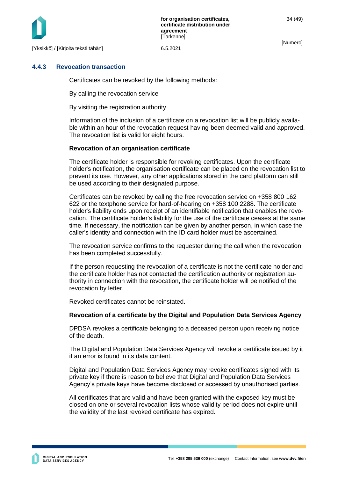

### <span id="page-34-0"></span>**4.4.3 Revocation transaction**

Certificates can be revoked by the following methods:

By calling the revocation service

By visiting the registration authority

Information of the inclusion of a certificate on a revocation list will be publicly available within an hour of the revocation request having been deemed valid and approved. The revocation list is valid for eight hours.

### **Revocation of an organisation certificate**

The certificate holder is responsible for revoking certificates. Upon the certificate holder's notification, the organisation certificate can be placed on the revocation list to prevent its use. However, any other applications stored in the card platform can still be used according to their designated purpose.

Certificates can be revoked by calling the free revocation service on +358 800 162 622 or the textphone service for hard-of-hearing on +358 100 2288. The certificate holder's liability ends upon receipt of an identifiable notification that enables the revocation. The certificate holder's liability for the use of the certificate ceases at the same time. If necessary, the notification can be given by another person, in which case the caller's identity and connection with the ID card holder must be ascertained.

The revocation service confirms to the requester during the call when the revocation has been completed successfully.

If the person requesting the revocation of a certificate is not the certificate holder and the certificate holder has not contacted the certification authority or registration authority in connection with the revocation, the certificate holder will be notified of the revocation by letter.

Revoked certificates cannot be reinstated.

### **Revocation of a certificate by the Digital and Population Data Services Agency**

DPDSA revokes a certificate belonging to a deceased person upon receiving notice of the death.

The Digital and Population Data Services Agency will revoke a certificate issued by it if an error is found in its data content.

Digital and Population Data Services Agency may revoke certificates signed with its private key if there is reason to believe that Digital and Population Data Services Agency's private keys have become disclosed or accessed by unauthorised parties.

All certificates that are valid and have been granted with the exposed key must be closed on one or several revocation lists whose validity period does not expire until the validity of the last revoked certificate has expired.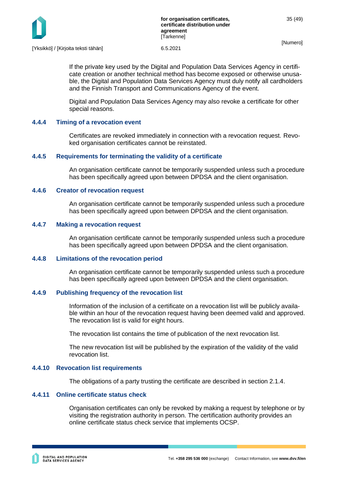

If the private key used by the Digital and Population Data Services Agency in certificate creation or another technical method has become exposed or otherwise unusable, the Digital and Population Data Services Agency must duly notify all cardholders and the Finnish Transport and Communications Agency of the event.

Digital and Population Data Services Agency may also revoke a certificate for other special reasons.

### <span id="page-35-0"></span>**4.4.4 Timing of a revocation event**

Certificates are revoked immediately in connection with a revocation request. Revoked organisation certificates cannot be reinstated.

### <span id="page-35-1"></span>**4.4.5 Requirements for terminating the validity of a certificate**

An organisation certificate cannot be temporarily suspended unless such a procedure has been specifically agreed upon between DPDSA and the client organisation.

### <span id="page-35-2"></span>**4.4.6 Creator of revocation request**

An organisation certificate cannot be temporarily suspended unless such a procedure has been specifically agreed upon between DPDSA and the client organisation.

### <span id="page-35-3"></span>**4.4.7 Making a revocation request**

An organisation certificate cannot be temporarily suspended unless such a procedure has been specifically agreed upon between DPDSA and the client organisation.

### <span id="page-35-4"></span>**4.4.8 Limitations of the revocation period**

An organisation certificate cannot be temporarily suspended unless such a procedure has been specifically agreed upon between DPDSA and the client organisation.

### <span id="page-35-5"></span>**4.4.9 Publishing frequency of the revocation list**

Information of the inclusion of a certificate on a revocation list will be publicly available within an hour of the revocation request having been deemed valid and approved. The revocation list is valid for eight hours.

The revocation list contains the time of publication of the next revocation list.

The new revocation list will be published by the expiration of the validity of the valid revocation list.

### <span id="page-35-6"></span>**4.4.10 Revocation list requirements**

The obligations of a party trusting the certificate are described in section 2.1.4.

### <span id="page-35-7"></span>**4.4.11 Online certificate status check**

Organisation certificates can only be revoked by making a request by telephone or by visiting the registration authority in person. The certification authority provides an online certificate status check service that implements OCSP.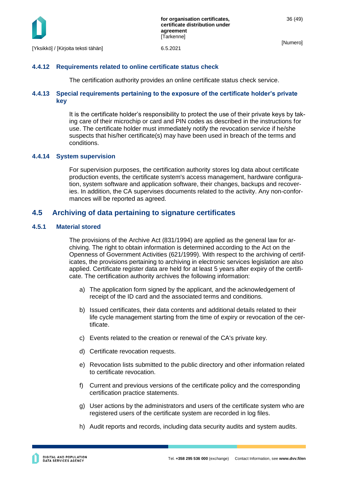

# <span id="page-36-0"></span>**4.4.12 Requirements related to online certificate status check**

The certification authority provides an online certificate status check service.

# <span id="page-36-1"></span>**4.4.13 Special requirements pertaining to the exposure of the certificate holder's private key**

It is the certificate holder's responsibility to protect the use of their private keys by taking care of their microchip or card and PIN codes as described in the instructions for use. The certificate holder must immediately notify the revocation service if he/she suspects that his/her certificate(s) may have been used in breach of the terms and conditions.

# <span id="page-36-2"></span>**4.4.14 System supervision**

For supervision purposes, the certification authority stores log data about certificate production events, the certificate system's access management, hardware configuration, system software and application software, their changes, backups and recoveries. In addition, the CA supervises documents related to the activity. Any non-conformances will be reported as agreed.

# <span id="page-36-3"></span>**4.5 Archiving of data pertaining to signature certificates**

# <span id="page-36-4"></span>**4.5.1 Material stored**

The provisions of the Archive Act (831/1994) are applied as the general law for archiving. The right to obtain information is determined according to the Act on the Openness of Government Activities (621/1999). With respect to the archiving of certificates, the provisions pertaining to archiving in electronic services legislation are also applied. Certificate register data are held for at least 5 years after expiry of the certificate. The certification authority archives the following information:

- a) The application form signed by the applicant, and the acknowledgement of receipt of the ID card and the associated terms and conditions.
- b) Issued certificates, their data contents and additional details related to their life cycle management starting from the time of expiry or revocation of the certificate.
- c) Events related to the creation or renewal of the CA's private key.
- d) Certificate revocation requests.
- e) Revocation lists submitted to the public directory and other information related to certificate revocation.
- f) Current and previous versions of the certificate policy and the corresponding certification practice statements.
- g) User actions by the administrators and users of the certificate system who are registered users of the certificate system are recorded in log files.
- h) Audit reports and records, including data security audits and system audits.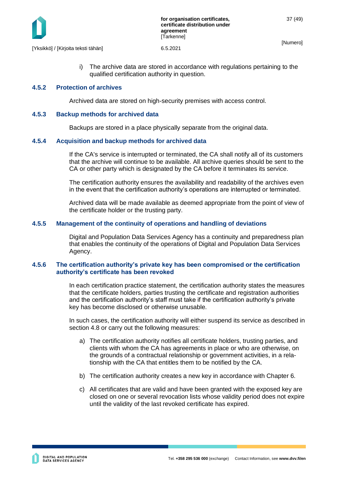

[Yksikkö] / [Kirjoita teksti tähän] 6.5.2021

i) The archive data are stored in accordance with regulations pertaining to the qualified certification authority in question.

### <span id="page-37-0"></span>**4.5.2 Protection of archives**

Archived data are stored on high-security premises with access control.

### <span id="page-37-1"></span>**4.5.3 Backup methods for archived data**

Backups are stored in a place physically separate from the original data.

### <span id="page-37-2"></span>**4.5.4 Acquisition and backup methods for archived data**

If the CA's service is interrupted or terminated, the CA shall notify all of its customers that the archive will continue to be available. All archive queries should be sent to the CA or other party which is designated by the CA before it terminates its service.

The certification authority ensures the availability and readability of the archives even in the event that the certification authority's operations are interrupted or terminated.

Archived data will be made available as deemed appropriate from the point of view of the certificate holder or the trusting party.

### <span id="page-37-3"></span>**4.5.5 Management of the continuity of operations and handling of deviations**

Digital and Population Data Services Agency has a continuity and preparedness plan that enables the continuity of the operations of Digital and Population Data Services Agency.

### <span id="page-37-4"></span>**4.5.6 The certification authority's private key has been compromised or the certification authority's certificate has been revoked**

In each certification practice statement, the certification authority states the measures that the certificate holders, parties trusting the certificate and registration authorities and the certification authority's staff must take if the certification authority's private key has become disclosed or otherwise unusable.

In such cases, the certification authority will either suspend its service as described in section 4.8 or carry out the following measures:

- a) The certification authority notifies all certificate holders, trusting parties, and clients with whom the CA has agreements in place or who are otherwise, on the grounds of a contractual relationship or government activities, in a relationship with the CA that entitles them to be notified by the CA.
- b) The certification authority creates a new key in accordance with Chapter 6.
- c) All certificates that are valid and have been granted with the exposed key are closed on one or several revocation lists whose validity period does not expire until the validity of the last revoked certificate has expired.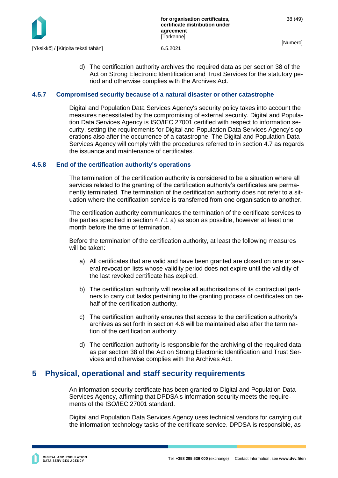

d) The certification authority archives the required data as per section 38 of the Act on Strong Electronic Identification and Trust Services for the statutory period and otherwise complies with the Archives Act.

### <span id="page-38-0"></span>**4.5.7 Compromised security because of a natural disaster or other catastrophe**

Digital and Population Data Services Agency's security policy takes into account the measures necessitated by the compromising of external security. Digital and Population Data Services Agency is ISO/IEC 27001 certified with respect to information security, setting the requirements for Digital and Population Data Services Agency's operations also after the occurrence of a catastrophe. The Digital and Population Data Services Agency will comply with the procedures referred to in section 4.7 as regards the issuance and maintenance of certificates.

### <span id="page-38-1"></span>**4.5.8 End of the ce**r**tification authority's operations**

The termination of the certification authority is considered to be a situation where all services related to the granting of the certification authority's certificates are permanently terminated. The termination of the certification authority does not refer to a situation where the certification service is transferred from one organisation to another.

The certification authority communicates the termination of the certificate services to the parties specified in section 4.7.1 a) as soon as possible, however at least one month before the time of termination.

Before the termination of the certification authority, at least the following measures will be taken:

- a) All certificates that are valid and have been granted are closed on one or several revocation lists whose validity period does not expire until the validity of the last revoked certificate has expired.
- b) The certification authority will revoke all authorisations of its contractual partners to carry out tasks pertaining to the granting process of certificates on behalf of the certification authority.
- c) The certification authority ensures that access to the certification authority's archives as set forth in section 4.6 will be maintained also after the termination of the certification authority.
- d) The certification authority is responsible for the archiving of the required data as per section 38 of the Act on Strong Electronic Identification and Trust Services and otherwise complies with the Archives Act.

# <span id="page-38-2"></span>**5 Physical, operational and staff security requirements**

An information security certificate has been granted to Digital and Population Data Services Agency, affirming that DPDSA's information security meets the requirements of the ISO/IEC 27001 standard.

Digital and Population Data Services Agency uses technical vendors for carrying out the information technology tasks of the certificate service. DPDSA is responsible, as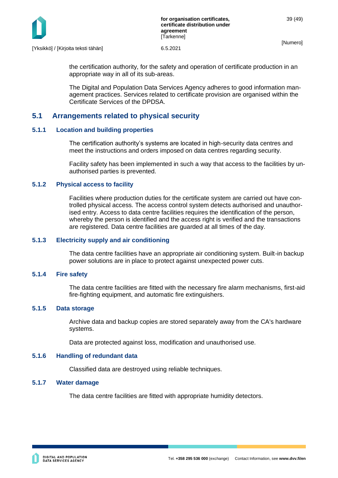

[Yksikkö] / [Kirjoita teksti tähän] 6.5.2021

the certification authority, for the safety and operation of certificate production in an appropriate way in all of its sub-areas.

The Digital and Population Data Services Agency adheres to good information management practices. Services related to certificate provision are organised within the Certificate Services of the DPDSA.

# <span id="page-39-0"></span>**5.1 Arrangements related to physical security**

### <span id="page-39-1"></span>**5.1.1 Location and building properties**

The certification authority's systems are located in high-security data centres and meet the instructions and orders imposed on data centres regarding security.

Facility safety has been implemented in such a way that access to the facilities by unauthorised parties is prevented.

### <span id="page-39-2"></span>**5.1.2 Physical access to facility**

Facilities where production duties for the certificate system are carried out have controlled physical access. The access control system detects authorised and unauthorised entry. Access to data centre facilities requires the identification of the person, whereby the person is identified and the access right is verified and the transactions are registered. Data centre facilities are guarded at all times of the day.

### <span id="page-39-3"></span>**5.1.3 Electricity supply and air conditioning**

The data centre facilities have an appropriate air conditioning system. Built-in backup power solutions are in place to protect against unexpected power cuts.

### <span id="page-39-4"></span>**5.1.4 Fire safety**

The data centre facilities are fitted with the necessary fire alarm mechanisms, first-aid fire-fighting equipment, and automatic fire extinguishers.

### <span id="page-39-5"></span>**5.1.5 Data storage**

Archive data and backup copies are stored separately away from the CA's hardware systems.

Data are protected against loss, modification and unauthorised use.

# <span id="page-39-6"></span>**5.1.6 Handling of redundant data**

Classified data are destroyed using reliable techniques.

# <span id="page-39-7"></span>**5.1.7 Water damage**

The data centre facilities are fitted with appropriate humidity detectors.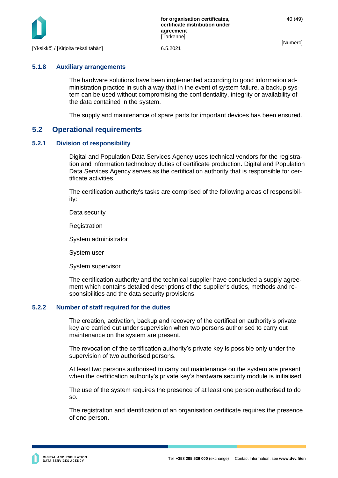

### <span id="page-40-0"></span>**5.1.8 Auxiliary arrangements**

The hardware solutions have been implemented according to good information administration practice in such a way that in the event of system failure, a backup system can be used without compromising the confidentiality, integrity or availability of the data contained in the system.

The supply and maintenance of spare parts for important devices has been ensured.

# <span id="page-40-1"></span>**5.2 Operational requirements**

### <span id="page-40-2"></span>**5.2.1 Division of responsibility**

Digital and Population Data Services Agency uses technical vendors for the registration and information technology duties of certificate production. Digital and Population Data Services Agency serves as the certification authority that is responsible for certificate activities.

The certification authority's tasks are comprised of the following areas of responsibility:

Data security

Registration

System administrator

System user

System supervisor

The certification authority and the technical supplier have concluded a supply agreement which contains detailed descriptions of the supplier's duties, methods and responsibilities and the data security provisions.

### <span id="page-40-3"></span>**5.2.2 Number of staff required for the duties**

The creation, activation, backup and recovery of the certification authority's private key are carried out under supervision when two persons authorised to carry out maintenance on the system are present.

The revocation of the certification authority's private key is possible only under the supervision of two authorised persons.

At least two persons authorised to carry out maintenance on the system are present when the certification authority's private key's hardware security module is initialised.

The use of the system requires the presence of at least one person authorised to do so.

The registration and identification of an organisation certificate requires the presence of one person.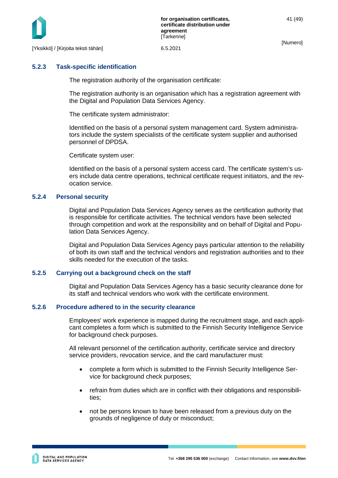

# <span id="page-41-0"></span>**5.2.3 Task-specific identification**

The registration authority of the organisation certificate:

The registration authority is an organisation which has a registration agreement with the Digital and Population Data Services Agency.

The certificate system administrator:

Identified on the basis of a personal system management card. System administrators include the system specialists of the certificate system supplier and authorised personnel of DPDSA.

Certificate system user:

Identified on the basis of a personal system access card. The certificate system's users include data centre operations, technical certificate request initiators, and the revocation service.

### <span id="page-41-1"></span>**5.2.4 Personal security**

Digital and Population Data Services Agency serves as the certification authority that is responsible for certificate activities. The technical vendors have been selected through competition and work at the responsibility and on behalf of Digital and Population Data Services Agency.

Digital and Population Data Services Agency pays particular attention to the reliability of both its own staff and the technical vendors and registration authorities and to their skills needed for the execution of the tasks.

### <span id="page-41-2"></span>**5.2.5 Carrying out a background check on the staff**

Digital and Population Data Services Agency has a basic security clearance done for its staff and technical vendors who work with the certificate environment.

### <span id="page-41-3"></span>**5.2.6 Procedure adhered to in the security clearance**

Employees' work experience is mapped during the recruitment stage, and each applicant completes a form which is submitted to the Finnish Security Intelligence Service for background check purposes.

All relevant personnel of the certification authority, certificate service and directory service providers, revocation service, and the card manufacturer must:

- complete a form which is submitted to the Finnish Security Intelligence Service for background check purposes;
- refrain from duties which are in conflict with their obligations and responsibilities;
- not be persons known to have been released from a previous duty on the grounds of negligence of duty or misconduct;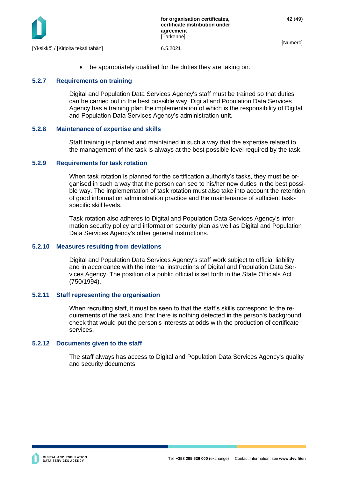

be appropriately qualified for the duties they are taking on.

### <span id="page-42-0"></span>**5.2.7 Requirements on training**

Digital and Population Data Services Agency's staff must be trained so that duties can be carried out in the best possible way. Digital and Population Data Services Agency has a training plan the implementation of which is the responsibility of Digital and Population Data Services Agency's administration unit.

### <span id="page-42-1"></span>**5.2.8 Maintenance of expertise and skills**

Staff training is planned and maintained in such a way that the expertise related to the management of the task is always at the best possible level required by the task.

### <span id="page-42-2"></span>**5.2.9 Requirements for task rotation**

When task rotation is planned for the certification authority's tasks, they must be organised in such a way that the person can see to his/her new duties in the best possible way. The implementation of task rotation must also take into account the retention of good information administration practice and the maintenance of sufficient taskspecific skill levels.

Task rotation also adheres to Digital and Population Data Services Agency's information security policy and information security plan as well as Digital and Population Data Services Agency's other general instructions.

### <span id="page-42-3"></span>**5.2.10 Measures resulting from deviations**

Digital and Population Data Services Agency's staff work subject to official liability and in accordance with the internal instructions of Digital and Population Data Services Agency. The position of a public official is set forth in the State Officials Act (750/1994).

### <span id="page-42-4"></span>**5.2.11 Staff representing the organisation**

When recruiting staff, it must be seen to that the staff's skills correspond to the requirements of the task and that there is nothing detected in the person's background check that would put the person's interests at odds with the production of certificate services.

### <span id="page-42-5"></span>**5.2.12 Documents given to the staff**

The staff always has access to Digital and Population Data Services Agency's quality and security documents.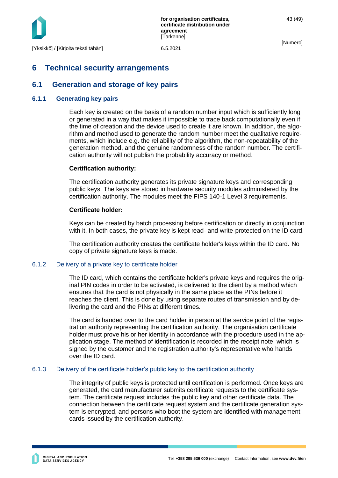

# <span id="page-43-0"></span>**6 Technical security arrangements**

# <span id="page-43-1"></span>**6.1 Generation and storage of key pairs**

### <span id="page-43-2"></span>**6.1.1 Generating key pairs**

Each key is created on the basis of a random number input which is sufficiently long or generated in a way that makes it impossible to trace back computationally even if the time of creation and the device used to create it are known. In addition, the algorithm and method used to generate the random number meet the qualitative requirements, which include e.g. the reliability of the algorithm, the non-repeatability of the generation method, and the genuine randomness of the random number. The certification authority will not publish the probability accuracy or method.

### **Certification authority:**

The certification authority generates its private signature keys and corresponding public keys. The keys are stored in hardware security modules administered by the certification authority. The modules meet the FIPS 140-1 Level 3 requirements.

### **Certificate holder:**

Keys can be created by batch processing before certification or directly in conjunction with it. In both cases, the private key is kept read- and write-protected on the ID card.

The certification authority creates the certificate holder's keys within the ID card. No copy of private signature keys is made.

### <span id="page-43-3"></span>6.1.2 Delivery of a private key to certificate holder

The ID card, which contains the certificate holder's private keys and requires the original PIN codes in order to be activated, is delivered to the client by a method which ensures that the card is not physically in the same place as the PINs before it reaches the client. This is done by using separate routes of transmission and by delivering the card and the PINs at different times.

The card is handed over to the card holder in person at the service point of the registration authority representing the certification authority. The organisation certificate holder must prove his or her identity in accordance with the procedure used in the application stage. The method of identification is recorded in the receipt note, which is signed by the customer and the registration authority's representative who hands over the ID card.

### <span id="page-43-4"></span>6.1.3 Delivery of the certificate holder's public key to the certification authority

The integrity of public keys is protected until certification is performed. Once keys are generated, the card manufacturer submits certificate requests to the certificate system. The certificate request includes the public key and other certificate data. The connection between the certificate request system and the certificate generation system is encrypted, and persons who boot the system are identified with management cards issued by the certification authority.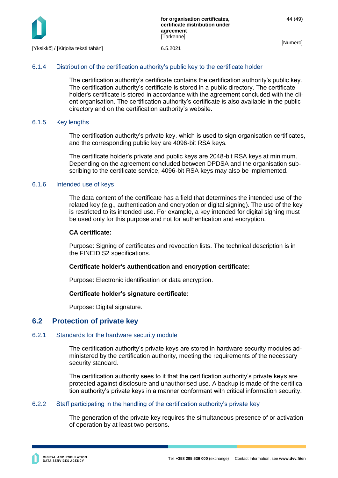

### <span id="page-44-0"></span>6.1.4 Distribution of the certification authority's public key to the certificate holder

The certification authority's certificate contains the certification authority's public key. The certification authority's certificate is stored in a public directory. The certificate holder's certificate is stored in accordance with the agreement concluded with the client organisation. The certification authority's certificate is also available in the public directory and on the certification authority's website.

### <span id="page-44-1"></span>6.1.5 Key lengths

The certification authority's private key, which is used to sign organisation certificates, and the corresponding public key are 4096-bit RSA keys.

The certificate holder's private and public keys are 2048-bit RSA keys at minimum. Depending on the agreement concluded between DPDSA and the organisation subscribing to the certificate service, 4096-bit RSA keys may also be implemented.

### <span id="page-44-2"></span>6.1.6 Intended use of keys

The data content of the certificate has a field that determines the intended use of the related key (e.g., authentication and encryption or digital signing). The use of the key is restricted to its intended use. For example, a key intended for digital signing must be used only for this purpose and not for authentication and encryption.

### **CA certificate:**

Purpose: Signing of certificates and revocation lists. The technical description is in the FINEID S2 specifications.

### **Certificate holder's authentication and encryption certificate:**

Purpose: Electronic identification or data encryption.

### **Certificate holder's signature certificate:**

Purpose: Digital signature.

# <span id="page-44-3"></span>**6.2 Protection of private key**

### <span id="page-44-4"></span>6.2.1 Standards for the hardware security module

The certification authority's private keys are stored in hardware security modules administered by the certification authority, meeting the requirements of the necessary security standard.

The certification authority sees to it that the certification authority's private keys are protected against disclosure and unauthorised use. A backup is made of the certification authority's private keys in a manner conformant with critical information security.

### <span id="page-44-5"></span>6.2.2 Staff participating in the handling of the certification authority's private key

The generation of the private key requires the simultaneous presence of or activation of operation by at least two persons.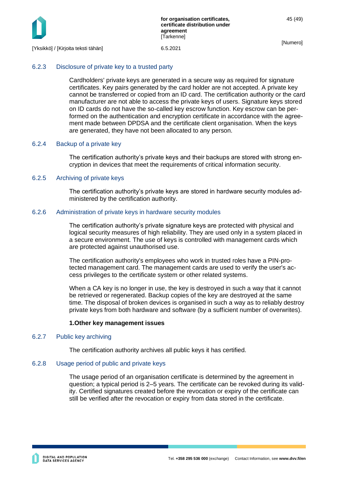

# <span id="page-45-0"></span>6.2.3 Disclosure of private key to a trusted party

Cardholders' private keys are generated in a secure way as required for signature certificates. Key pairs generated by the card holder are not accepted. A private key cannot be transferred or copied from an ID card. The certification authority or the card manufacturer are not able to access the private keys of users. Signature keys stored on ID cards do not have the so-called key escrow function. Key escrow can be performed on the authentication and encryption certificate in accordance with the agreement made between DPDSA and the certificate client organisation. When the keys are generated, they have not been allocated to any person.

### <span id="page-45-1"></span>6.2.4 Backup of a private key

The certification authority's private keys and their backups are stored with strong encryption in devices that meet the requirements of critical information security.

### <span id="page-45-2"></span>6.2.5 Archiving of private keys

The certification authority's private keys are stored in hardware security modules administered by the certification authority.

### <span id="page-45-3"></span>6.2.6 Administration of private keys in hardware security modules

The certification authority's private signature keys are protected with physical and logical security measures of high reliability. They are used only in a system placed in a secure environment. The use of keys is controlled with management cards which are protected against unauthorised use.

The certification authority's employees who work in trusted roles have a PIN-protected management card. The management cards are used to verify the user's access privileges to the certificate system or other related systems.

When a CA key is no longer in use, the key is destroyed in such a way that it cannot be retrieved or regenerated. Backup copies of the key are destroyed at the same time. The disposal of broken devices is organised in such a way as to reliably destroy private keys from both hardware and software (by a sufficient number of overwrites).

### **1.Other key management issues**

### <span id="page-45-4"></span>6.2.7 Public key archiving

The certification authority archives all public keys it has certified.

### <span id="page-45-5"></span>6.2.8 Usage period of public and private keys

The usage period of an organisation certificate is determined by the agreement in question; a typical period is 2–5 years. The certificate can be revoked during its validity. Certified signatures created before the revocation or expiry of the certificate can still be verified after the revocation or expiry from data stored in the certificate.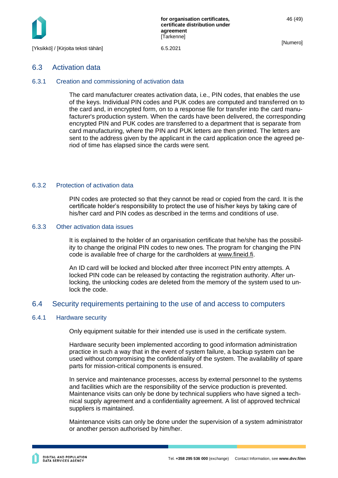

### <span id="page-46-0"></span>6.3 Activation data

### <span id="page-46-1"></span>6.3.1 Creation and commissioning of activation data

The card manufacturer creates activation data, i.e., PIN codes, that enables the use of the keys. Individual PIN codes and PUK codes are computed and transferred on to the card and, in encrypted form, on to a response file for transfer into the card manufacturer's production system. When the cards have been delivered, the corresponding encrypted PIN and PUK codes are transferred to a department that is separate from card manufacturing, where the PIN and PUK letters are then printed. The letters are sent to the address given by the applicant in the card application once the agreed period of time has elapsed since the cards were sent.

### <span id="page-46-2"></span>6.3.2 Protection of activation data

PIN codes are protected so that they cannot be read or copied from the card. It is the certificate holder's responsibility to protect the use of his/her keys by taking care of his/her card and PIN codes as described in the terms and conditions of use.

#### <span id="page-46-3"></span>6.3.3 Other activation data issues

It is explained to the holder of an organisation certificate that he/she has the possibility to change the original PIN codes to new ones. The program for changing the PIN code is available free of charge for the cardholders at [www.fineid.fi.](http://www.fineid.fi/)

An ID card will be locked and blocked after three incorrect PIN entry attempts. A locked PIN code can be released by contacting the registration authority. After unlocking, the unlocking codes are deleted from the memory of the system used to unlock the code.

# <span id="page-46-4"></span>6.4 Security requirements pertaining to the use of and access to computers

### <span id="page-46-5"></span>6.4.1 Hardware security

Only equipment suitable for their intended use is used in the certificate system.

Hardware security been implemented according to good information administration practice in such a way that in the event of system failure, a backup system can be used without compromising the confidentiality of the system. The availability of spare parts for mission-critical components is ensured.

In service and maintenance processes, access by external personnel to the systems and facilities which are the responsibility of the service production is prevented. Maintenance visits can only be done by technical suppliers who have signed a technical supply agreement and a confidentiality agreement. A list of approved technical suppliers is maintained.

Maintenance visits can only be done under the supervision of a system administrator or another person authorised by him/her.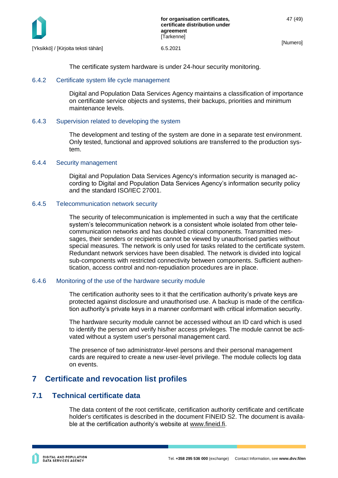

[Yksikkö] / [Kirjoita teksti tähän] 6.5.2021

The certificate system hardware is under 24-hour security monitoring.

# <span id="page-47-0"></span>6.4.2 Certificate system life cycle management

Digital and Population Data Services Agency maintains a classification of importance on certificate service objects and systems, their backups, priorities and minimum maintenance levels.

# <span id="page-47-1"></span>6.4.3 Supervision related to developing the system

The development and testing of the system are done in a separate test environment. Only tested, functional and approved solutions are transferred to the production system.

# <span id="page-47-2"></span>6.4.4 Security management

Digital and Population Data Services Agency's information security is managed according to Digital and Population Data Services Agency's information security policy and the standard ISO/IEC 27001.

# <span id="page-47-3"></span>6.4.5 Telecommunication network security

The security of telecommunication is implemented in such a way that the certificate system's telecommunication network is a consistent whole isolated from other telecommunication networks and has doubled critical components. Transmitted messages, their senders or recipients cannot be viewed by unauthorised parties without special measures. The network is only used for tasks related to the certificate system. Redundant network services have been disabled. The network is divided into logical sub-components with restricted connectivity between components. Sufficient authentication, access control and non-repudiation procedures are in place.

# <span id="page-47-4"></span>6.4.6 Monitoring of the use of the hardware security module

The certification authority sees to it that the certification authority's private keys are protected against disclosure and unauthorised use. A backup is made of the certification authority's private keys in a manner conformant with critical information security.

The hardware security module cannot be accessed without an ID card which is used to identify the person and verify his/her access privileges. The module cannot be activated without a system user's personal management card.

The presence of two administrator-level persons and their personal management cards are required to create a new user-level privilege. The module collects log data on events.

# <span id="page-47-5"></span>**7 Certificate and revocation list profiles**

# <span id="page-47-6"></span>**7.1 Technical certificate data**

The data content of the root certificate, certification authority certificate and certificate holder's certificates is described in the document FINEID S2. The document is available at the certification authority's website at [www.fineid.fi.](http://www.fineid.fi/)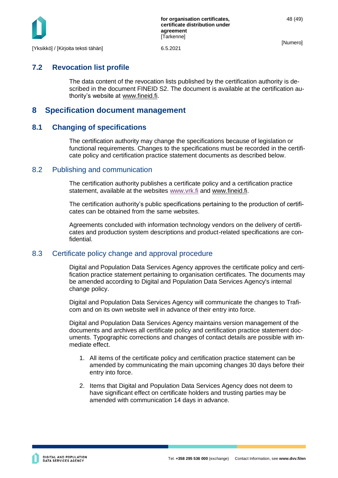

# <span id="page-48-0"></span>**7.2 Revocation list profile**

The data content of the revocation lists published by the certification authority is described in the document FINEID S2. The document is available at the certification authority's website at [www.fineid.fi.](http://www.fineid.fi/)

# <span id="page-48-1"></span>**8 Specification document management**

# <span id="page-48-2"></span>**8.1 Changing of specifications**

The certification authority may change the specifications because of legislation or functional requirements. Changes to the specifications must be recorded in the certificate policy and certification practice statement documents as described below.

# <span id="page-48-3"></span>8.2 Publishing and communication

The certification authority publishes a certificate policy and a certification practice statement, available at the websites [www.vrk.fi](http://www.vrk.fi/) and [www.fineid.fi.](http://www.fineid.fi/)

The certification authority's public specifications pertaining to the production of certificates can be obtained from the same websites.

Agreements concluded with information technology vendors on the delivery of certificates and production system descriptions and product-related specifications are confidential.

# <span id="page-48-4"></span>8.3 Certificate policy change and approval procedure

Digital and Population Data Services Agency approves the certificate policy and certification practice statement pertaining to organisation certificates. The documents may be amended according to Digital and Population Data Services Agency's internal change policy.

Digital and Population Data Services Agency will communicate the changes to Traficom and on its own website well in advance of their entry into force.

Digital and Population Data Services Agency maintains version management of the documents and archives all certificate policy and certification practice statement documents. Typographic corrections and changes of contact details are possible with immediate effect.

- 1. All items of the certificate policy and certification practice statement can be amended by communicating the main upcoming changes 30 days before their entry into force.
- 2. Items that Digital and Population Data Services Agency does not deem to have significant effect on certificate holders and trusting parties may be amended with communication 14 days in advance.